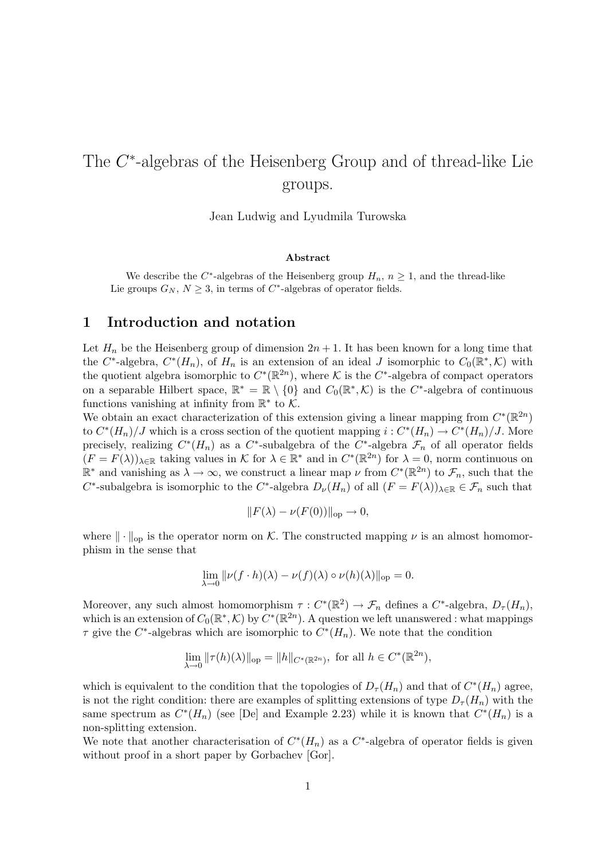# The C<sup>\*</sup>-algebras of the Heisenberg Group and of thread-like Lie groups.

Jean Ludwig and Lyudmila Turowska

#### Abstract

We describe the C<sup>\*</sup>-algebras of the Heisenberg group  $H_n$ ,  $n \geq 1$ , and the thread-like Lie groups  $G_N$ ,  $N \geq 3$ , in terms of  $C^*$ -algebras of operator fields.

### 1 Introduction and notation

Let  $H_n$  be the Heisenberg group of dimension  $2n + 1$ . It has been known for a long time that the C<sup>\*</sup>-algebra,  $C^*(H_n)$ , of  $H_n$  is an extension of an ideal J isomorphic to  $C_0(\mathbb{R}^*,\mathcal{K})$  with the quotient algebra isomorphic to  $C^*(\mathbb{R}^{2n})$ , where K is the  $C^*$ -algebra of compact operators on a separable Hilbert space,  $\mathbb{R}^* = \mathbb{R} \setminus \{0\}$  and  $C_0(\mathbb{R}^*,\mathcal{K})$  is the C<sup>\*</sup>-algebra of continuous functions vanishing at infinity from  $\mathbb{R}^*$  to  $\mathcal{K}$ .

We obtain an exact characterization of this extension giving a linear mapping from  $C^*(\mathbb{R}^{2n})$ to  $C^*(H_n)/J$  which is a cross section of the quotient mapping  $i: C^*(H_n) \to C^*(H_n)/J$ . More precisely, realizing  $C^*(H_n)$  as a  $C^*$ -subalgebra of the  $C^*$ -algebra  $\mathcal{F}_n$  of all operator fields  $(F = F(\lambda))_{\lambda \in \mathbb{R}}$  taking values in K for  $\lambda \in \mathbb{R}^*$  and in  $C^*(\mathbb{R}^{2n})$  for  $\lambda = 0$ , norm continuous on  $\mathbb{R}^*$  and vanishing as  $\lambda \to \infty$ , we construct a linear map  $\nu$  from  $C^*(\mathbb{R}^{2n})$  to  $\mathcal{F}_n$ , such that the C<sup>\*</sup>-subalgebra is isomorphic to the C<sup>\*</sup>-algebra  $D_{\nu}(H_n)$  of all  $(F = F(\lambda))_{\lambda \in \mathbb{R}} \in \mathcal{F}_n$  such that

$$
||F(\lambda) - \nu(F(0))||_{\text{op}} \to 0,
$$

where  $\|\cdot\|_{\text{op}}$  is the operator norm on K. The constructed mapping  $\nu$  is an almost homomorphism in the sense that

$$
\lim_{\lambda \to 0} ||\nu(f \cdot h)(\lambda) - \nu(f)(\lambda) \circ \nu(h)(\lambda)||_{\text{op}} = 0.
$$

Moreover, any such almost homomorphism  $\tau: C^*(\mathbb{R}^2) \to \mathcal{F}_n$  defines a  $C^*$ -algebra,  $D_{\tau}(H_n)$ , which is an extension of  $C_0(\mathbb{R}^*,\mathcal{K})$  by  $C^*(\mathbb{R}^{2n})$ . A question we left unanswered : what mappings  $\tau$  give the C<sup>\*</sup>-algebras which are isomorphic to  $C^*(H_n)$ . We note that the condition

$$
\lim_{\lambda \to 0} ||\tau(h)(\lambda)||_{\text{op}} = ||h||_{C^*(\mathbb{R}^{2n})}, \text{ for all } h \in C^*(\mathbb{R}^{2n}),
$$

which is equivalent to the condition that the topologies of  $D_{\tau}(H_n)$  and that of  $C^*(H_n)$  agree, is not the right condition: there are examples of splitting extensions of type  $D_{\tau}(H_n)$  with the same spectrum as  $C^*(H_n)$  (see [De] and Example 2.23) while it is known that  $C^*(H_n)$  is a non-splitting extension.

We note that another characterisation of  $C^*(H_n)$  as a  $C^*$ -algebra of operator fields is given without proof in a short paper by Gorbachev [Gor].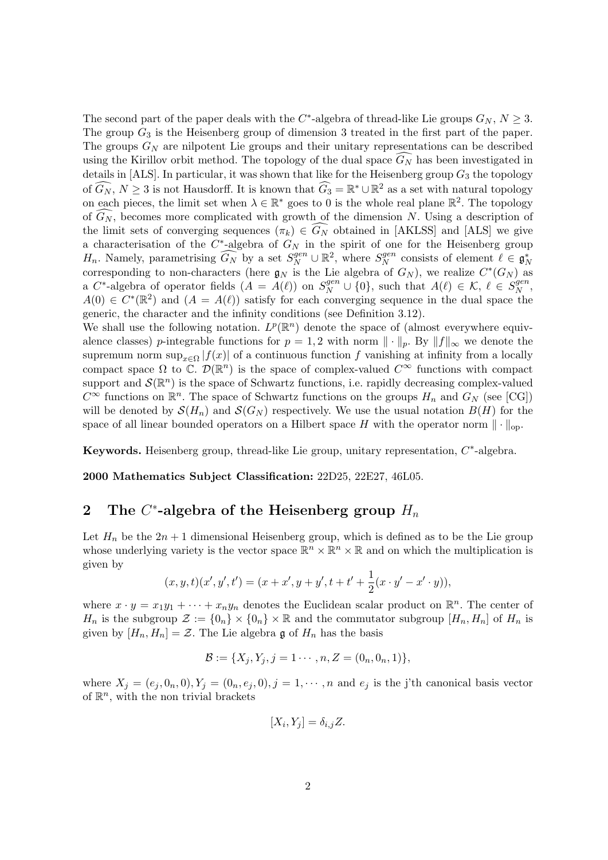The second part of the paper deals with the  $C^*$ -algebra of thread-like Lie groups  $G_N$ ,  $N \geq 3$ . The group  $G_3$  is the Heisenberg group of dimension 3 treated in the first part of the paper. The groups  $G_N$  are nilpotent Lie groups and their unitary representations can be described using the Kirillov orbit method. The topology of the dual space  $G_N$  has been investigated in details in [ALS]. In particular, it was shown that like for the Heisenberg group  $G_3$  the topology of  $\widehat{G_N}$ ,  $N \geq 3$  is not Hausdorff. It is known that  $\widehat{G_3} = \mathbb{R}^* \cup \mathbb{R}^2$  as a set with natural topology on each pieces, the limit set when  $\lambda \in \mathbb{R}^*$  goes to 0 is the whole real plane  $\mathbb{R}^2$ . The topology of  $\widehat{G_N}$ , becomes more complicated with growth of the dimension N. Using a description of the limit sets of converging sequences  $(\pi_k) \in \widehat{G_N}$  obtained in [AKLSS] and [ALS] we give a characterisation of the  $C^*$ -algebra of  $G_N$  in the spirit of one for the Heisenberg group  $H_n$ . Namely, parametrising  $\widehat{G_N}$  by a set  $S_N^{gen} \cup \mathbb{R}^2$ , where  $S_N^{gen}$  $N^{gen}$  consists of element  $\ell \in \mathfrak{g}_N^*$ corresponding to non-characters (here  $\mathfrak{g}_N$  is the Lie algebra of  $G_N$ ), we realize  $C^*(G_N)$  as a C<sup>\*</sup>-algebra of operator fields  $(A = A(\ell))$  on  $S_N^{gen} \cup \{0\}$ , such that  $A(\ell) \in \mathcal{K}, \ell \in S_N^{gen}$  $^{gen}_{N},$  $A(0) \in C^*(\mathbb{R}^2)$  and  $(A = A(\ell))$  satisfy for each converging sequence in the dual space the generic, the character and the infinity conditions (see Definition 3.12).

We shall use the following notation.  $L^p(\mathbb{R}^n)$  denote the space of (almost everywhere equivalence classes) p-integrable functions for  $p = 1, 2$  with norm  $\|\cdot\|_p$ . By  $\|f\|_{\infty}$  we denote the supremum norm sup<sub>x∈Ω</sub>  $|f(x)|$  of a continuous function f vanishing at infinity from a locally compact space  $\Omega$  to  $\mathbb{C}$ .  $\mathcal{D}(\mathbb{R}^n)$  is the space of complex-valued  $C^{\infty}$  functions with compact support and  $\mathcal{S}(\mathbb{R}^n)$  is the space of Schwartz functions, i.e. rapidly decreasing complex-valued  $C^{\infty}$  functions on  $\mathbb{R}^n$ . The space of Schwartz functions on the groups  $H_n$  and  $G_N$  (see [CG]) will be denoted by  $\mathcal{S}(H_n)$  and  $\mathcal{S}(G_N)$  respectively. We use the usual notation  $B(H)$  for the space of all linear bounded operators on a Hilbert space H with the operator norm  $\|\cdot\|_{\text{on}}$ .

Keywords. Heisenberg group, thread-like Lie group, unitary representation,  $C^*$ -algebra.

2000 Mathematics Subject Classification: 22D25, 22E27, 46L05.

## 2 The  $C^*$ -algebra of the Heisenberg group  $H_n$

Let  $H_n$  be the  $2n + 1$  dimensional Heisenberg group, which is defined as to be the Lie group whose underlying variety is the vector space  $\mathbb{R}^n \times \mathbb{R}^n \times \mathbb{R}$  and on which the multiplication is given by

$$
(x, y, t)(x', y', t') = (x + x', y + y', t + t' + \frac{1}{2}(x \cdot y' - x' \cdot y)),
$$

where  $x \cdot y = x_1y_1 + \cdots + x_ny_n$  denotes the Euclidean scalar product on  $\mathbb{R}^n$ . The center of  $H_n$  is the subgroup  $\mathcal{Z} := \{0_n\} \times \{0_n\} \times \mathbb{R}$  and the commutator subgroup  $[H_n, H_n]$  of  $H_n$  is given by  $[H_n, H_n] = \mathcal{Z}$ . The Lie algebra g of  $H_n$  has the basis

$$
\mathcal{B} := \{X_j, Y_j, j = 1 \cdots, n, Z = (0_n, 0_n, 1)\},\
$$

where  $X_j = (e_j, 0_n, 0), Y_j = (0_n, e_j, 0), j = 1, \dots, n$  and  $e_j$  is the j'th canonical basis vector of  $\mathbb{R}^n$ , with the non trivial brackets

$$
[X_i, Y_j] = \delta_{i,j} Z.
$$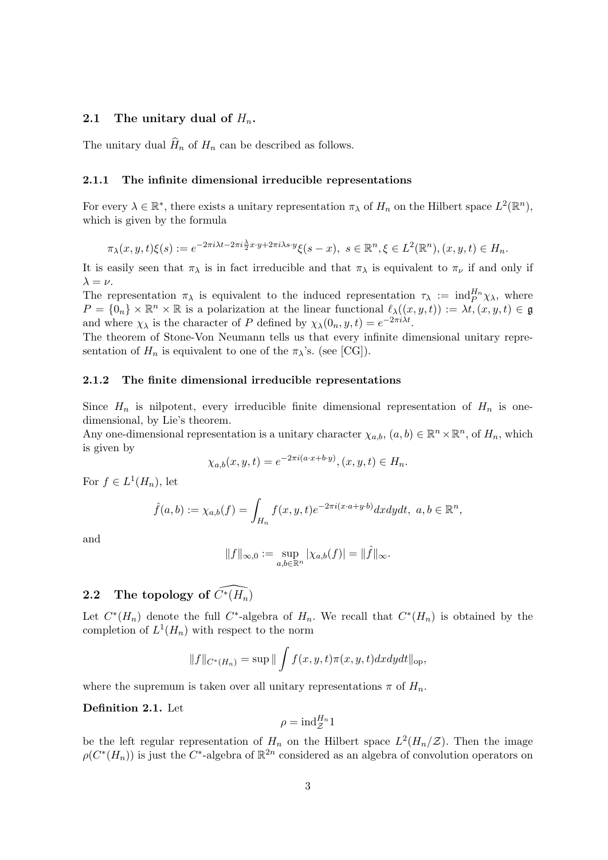### 2.1 The unitary dual of  $H_n$ .

The unitary dual  $\widehat{H}_n$  of  $H_n$  can be described as follows.

#### 2.1.1 The infinite dimensional irreducible representations

For every  $\lambda \in \mathbb{R}^*$ , there exists a unitary representation  $\pi_\lambda$  of  $H_n$  on the Hilbert space  $L^2(\mathbb{R}^n)$ , which is given by the formula

$$
\pi_{\lambda}(x, y, t)\xi(s) := e^{-2\pi i\lambda t - 2\pi i \frac{\lambda}{2}x \cdot y + 2\pi i \lambda s \cdot y} \xi(s - x), \ s \in \mathbb{R}^n, \xi \in L^2(\mathbb{R}^n), (x, y, t) \in H_n.
$$

It is easily seen that  $\pi_{\lambda}$  is in fact irreducible and that  $\pi_{\lambda}$  is equivalent to  $\pi_{\nu}$  if and only if  $\lambda = \nu$ .

The representation  $\pi_{\lambda}$  is equivalent to the induced representation  $\tau_{\lambda} := \text{ind}_{P}^{H_n} \chi_{\lambda}$ , where  $P = \{0_n\} \times \mathbb{R}^n \times \mathbb{R}$  is a polarization at the linear functional  $\ell_{\lambda}((x, y, t)) := \lambda \overline{t}, (x, y, t) \in \mathfrak{g}$ and where  $\chi_{\lambda}$  is the character of P defined by  $\chi_{\lambda}(0_n, y, t) = e^{-2\pi i \lambda t}$ .

The theorem of Stone-Von Neumann tells us that every infinite dimensional unitary representation of  $H_n$  is equivalent to one of the  $\pi_\lambda$ 's. (see [CG]).

#### 2.1.2 The finite dimensional irreducible representations

Since  $H_n$  is nilpotent, every irreducible finite dimensional representation of  $H_n$  is onedimensional, by Lie's theorem.

Any one-dimensional representation is a unitary character  $\chi_{a,b}, (a, b) \in \mathbb{R}^n \times \mathbb{R}^n$ , of  $H_n$ , which is given by

$$
\chi_{a,b}(x,y,t) = e^{-2\pi i (a \cdot x + b \cdot y)}, (x, y, t) \in H_n.
$$

For  $f \in L^1(H_n)$ , let

$$
\hat{f}(a,b) := \chi_{a,b}(f) = \int_{H_n} f(x,y,t)e^{-2\pi i(x\cdot a+y\cdot b)}dxdydt, \ a,b \in \mathbb{R}^n,
$$

and

$$
||f||_{\infty,0} := \sup_{a,b \in \mathbb{R}^n} |\chi_{a,b}(f)| = ||\hat{f}||_{\infty}.
$$

# 2.2 The topology of  $\widehat{C^*(H_n)}$

Let  $C^*(H_n)$  denote the full  $C^*$ -algebra of  $H_n$ . We recall that  $C^*(H_n)$  is obtained by the completion of  $L^1(H_n)$  with respect to the norm

$$
||f||_{C^*(H_n)} = \sup ||\int f(x,y,t)\pi(x,y,t)dxdydt||_{\text{op}},
$$

where the supremum is taken over all unitary representations  $\pi$  of  $H_n$ .

#### Definition 2.1. Let

$$
\rho = \mathrm{ind}_{\mathcal{Z}}^{H_n} 1
$$

be the left regular representation of  $H_n$  on the Hilbert space  $L^2(H_n/\mathcal{Z})$ . Then the image  $\rho(C^*(H_n))$  is just the  $C^*$ -algebra of  $\mathbb{R}^{2n}$  considered as an algebra of convolution operators on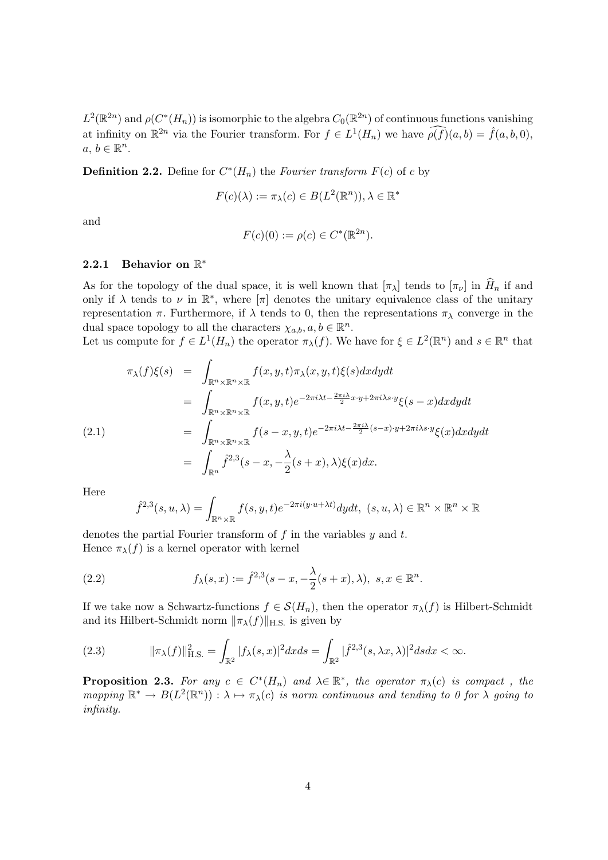$L^2(\mathbb{R}^{2n})$  and  $\rho(C^*(H_n))$  is isomorphic to the algebra  $C_0(\mathbb{R}^{2n})$  of continuous functions vanishing at infinity on  $\mathbb{R}^{2n}$  via the Fourier transform. For  $f \in L^1(H_n)$  we have  $\widehat{\rho(f)}(a, b) = \widehat{f}(a, b, 0)$ ,  $a, b \in \mathbb{R}^n$ .

**Definition 2.2.** Define for  $C^*(H_n)$  the Fourier transform  $F(c)$  of c by

$$
F(c)(\lambda) := \pi_{\lambda}(c) \in B(L^2(\mathbb{R}^n)), \lambda \in \mathbb{R}^*
$$

and

$$
F(c)(0) := \rho(c) \in C^*(\mathbb{R}^{2n}).
$$

## 2.2.1 Behavior on  $\mathbb{R}^*$

As for the topology of the dual space, it is well known that  $[\pi_\lambda]$  tends to  $[\pi_\nu]$  in  $\widehat{H}_n$  if and only if  $\lambda$  tends to  $\nu$  in  $\mathbb{R}^*$ , where  $[\pi]$  denotes the unitary equivalence class of the unitary representation π. Furthermore, if  $\lambda$  tends to 0, then the representations π<sub>λ</sub> converge in the dual space topology to all the characters  $\chi_{a,b}, a, b \in \mathbb{R}^n$ .

Let us compute for  $f \in L^1(H_n)$  the operator  $\pi_\lambda(f)$ . We have for  $\xi \in L^2(\mathbb{R}^n)$  and  $s \in \mathbb{R}^n$  that

$$
\pi_{\lambda}(f)\xi(s) = \int_{\mathbb{R}^n \times \mathbb{R}^n \times \mathbb{R}} f(x, y, t) \pi_{\lambda}(x, y, t) \xi(s) dx dy dt
$$
  
\n
$$
= \int_{\mathbb{R}^n \times \mathbb{R}^n \times \mathbb{R}} f(x, y, t) e^{-2\pi i \lambda t - \frac{2\pi i \lambda}{2} x \cdot y + 2\pi i \lambda s \cdot y} \xi(s - x) dx dy dt
$$
  
\n
$$
= \int_{\mathbb{R}^n \times \mathbb{R}^n \times \mathbb{R}} f(s - x, y, t) e^{-2\pi i \lambda t - \frac{2\pi i \lambda}{2} (s - x) \cdot y + 2\pi i \lambda s \cdot y} \xi(x) dx dy dt
$$
  
\n
$$
= \int_{\mathbb{R}^n} \hat{f}^{2,3}(s - x, -\frac{\lambda}{2}(s + x), \lambda) \xi(x) dx.
$$

Here

$$
\hat{f}^{2,3}(s, u, \lambda) = \int_{\mathbb{R}^n \times \mathbb{R}} f(s, y, t) e^{-2\pi i (y \cdot u + \lambda t)} dy dt, \ (s, u, \lambda) \in \mathbb{R}^n \times \mathbb{R}^n \times \mathbb{R}
$$

denotes the partial Fourier transform of  $f$  in the variables  $y$  and  $t$ . Hence  $\pi_{\lambda}(f)$  is a kernel operator with kernel

(2.2) 
$$
f_{\lambda}(s,x) := \hat{f}^{2,3}(s-x, -\frac{\lambda}{2}(s+x), \lambda), \ s, x \in \mathbb{R}^n.
$$

If we take now a Schwartz-functions  $f \in \mathcal{S}(H_n)$ , then the operator  $\pi_\lambda(f)$  is Hilbert-Schmidt and its Hilbert-Schmidt norm  $\|\pi_{\lambda}(f)\|_{\text{H.S.}}$  is given by

(2.3) 
$$
\|\pi_{\lambda}(f)\|_{\text{H.S.}}^2 = \int_{\mathbb{R}^2} |f_{\lambda}(s,x)|^2 dx ds = \int_{\mathbb{R}^2} |\hat{f}^{2,3}(s,\lambda x,\lambda)|^2 ds dx < \infty.
$$

**Proposition 2.3.** For any  $c \in C^*(H_n)$  and  $\lambda \in \mathbb{R}^*$ , the operator  $\pi_\lambda(c)$  is compact, the mapping  $\mathbb{R}^* \to B(L^2(\mathbb{R}^n)) : \lambda \mapsto \pi_\lambda(c)$  is norm continuous and tending to 0 for  $\lambda$  going to infinity.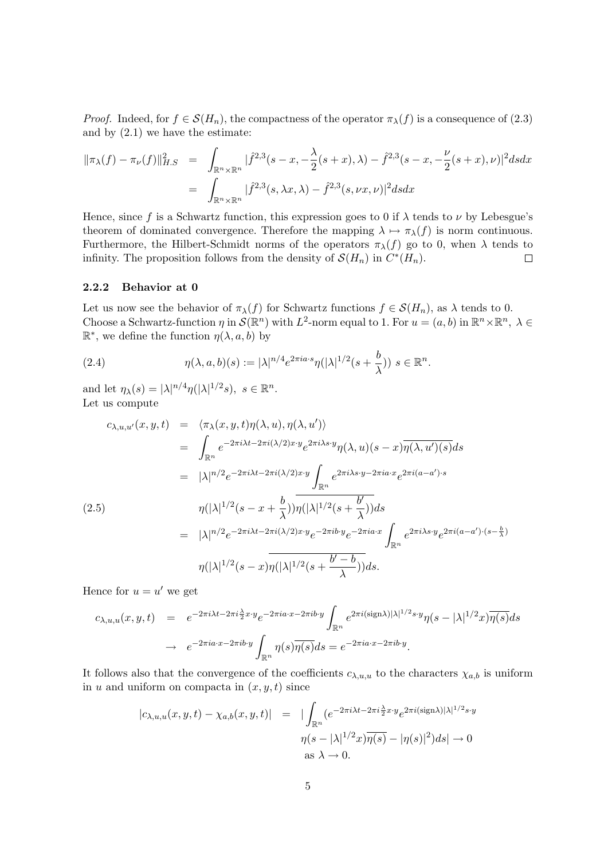*Proof.* Indeed, for  $f \in \mathcal{S}(H_n)$ , the compactness of the operator  $\pi_\lambda(f)$  is a consequence of (2.3) and by  $(2.1)$  we have the estimate:

$$
\|\pi_{\lambda}(f) - \pi_{\nu}(f)\|_{H.S}^2 = \int_{\mathbb{R}^n \times \mathbb{R}^n} |\hat{f}^{2,3}(s - x, -\frac{\lambda}{2}(s + x), \lambda) - \hat{f}^{2,3}(s - x, -\frac{\nu}{2}(s + x), \nu)|^2 ds dx
$$
  
= 
$$
\int_{\mathbb{R}^n \times \mathbb{R}^n} |\hat{f}^{2,3}(s, \lambda x, \lambda) - \hat{f}^{2,3}(s, \nu x, \nu)|^2 ds dx
$$

Hence, since f is a Schwartz function, this expression goes to 0 if  $\lambda$  tends to  $\nu$  by Lebesgue's theorem of dominated convergence. Therefore the mapping  $\lambda \mapsto \pi_\lambda(f)$  is norm continuous. Furthermore, the Hilbert-Schmidt norms of the operators  $\pi_{\lambda}(f)$  go to 0, when  $\lambda$  tends to infinity. The proposition follows from the density of  $\mathcal{S}(H_n)$  in  $C^*(H_n)$ .  $\Box$ 

#### 2.2.2 Behavior at 0

Let us now see the behavior of  $\pi_{\lambda}(f)$  for Schwartz functions  $f \in \mathcal{S}(H_n)$ , as  $\lambda$  tends to 0. Choose a Schwartz-function  $\eta$  in  $\mathcal{S}(\mathbb{R}^n)$  with  $L^2$ -norm equal to 1. For  $u = (a, b)$  in  $\mathbb{R}^n \times \mathbb{R}^n$ ,  $\lambda \in$  $\mathbb{R}^*$ , we define the function  $\eta(\lambda, a, b)$  by

(2.4) 
$$
\eta(\lambda, a, b)(s) := |\lambda|^{n/4} e^{2\pi i a \cdot s} \eta(|\lambda|^{1/2} (s + \frac{b}{\lambda})) s \in \mathbb{R}^n.
$$

and let  $\eta_{\lambda}(s) = |\lambda|^{n/4} \eta(|\lambda|^{1/2} s), s \in \mathbb{R}^n$ . Let us compute

$$
c_{\lambda,u,u'}(x,y,t) = \langle \pi_{\lambda}(x,y,t)\eta(\lambda,u), \eta(\lambda,u') \rangle
$$
  
\n
$$
= \int_{\mathbb{R}^n} e^{-2\pi i \lambda t - 2\pi i (\lambda/2) x \cdot y} e^{2\pi i \lambda s \cdot y} \eta(\lambda,u) (s-x) \overline{\eta(\lambda,u') (s)} ds
$$
  
\n
$$
= |\lambda|^{n/2} e^{-2\pi i \lambda t - 2\pi i (\lambda/2) x \cdot y} \int_{\mathbb{R}^n} e^{2\pi i \lambda s \cdot y - 2\pi i a \cdot x} e^{2\pi i (a-a') \cdot s}
$$
  
\n(2.5)  
\n
$$
\eta(|\lambda|^{1/2} (s-x+\frac{b}{\lambda})) \overline{\eta(|\lambda|^{1/2} (s+\frac{b'}{\lambda}))} ds
$$
  
\n
$$
= |\lambda|^{n/2} e^{-2\pi i \lambda t - 2\pi i (\lambda/2) x \cdot y} e^{-2\pi i b \cdot y} e^{-2\pi i a \cdot x} \int_{\mathbb{R}^n} e^{2\pi i \lambda s \cdot y} e^{2\pi i (a-a') \cdot (s-\frac{b}{\lambda})}
$$
  
\n
$$
\eta(|\lambda|^{1/2} (s-x) \overline{\eta(|\lambda|^{1/2} (s+\frac{b'-b}{\lambda}))} ds.
$$

Hence for  $u = u'$  we get

$$
c_{\lambda,u,u}(x,y,t) = e^{-2\pi i\lambda t - 2\pi i \frac{\lambda}{2}x \cdot y} e^{-2\pi i a \cdot x - 2\pi i b \cdot y} \int_{\mathbb{R}^n} e^{2\pi i (\text{sign}\lambda)|\lambda|^{1/2} s \cdot y} \eta(s - |\lambda|^{1/2} x) \overline{\eta(s)} ds
$$
  

$$
\rightarrow e^{-2\pi i a \cdot x - 2\pi i b \cdot y} \int_{\mathbb{R}^n} \eta(s) \overline{\eta(s)} ds = e^{-2\pi i a \cdot x - 2\pi i b \cdot y}.
$$

It follows also that the convergence of the coefficients  $c_{\lambda,u,u}$  to the characters  $\chi_{a,b}$  is uniform in u and uniform on compacta in  $(x, y, t)$  since

$$
|c_{\lambda,u,u}(x,y,t) - \chi_{a,b}(x,y,t)| = |\int_{\mathbb{R}^n} (e^{-2\pi i\lambda t - 2\pi i \frac{\lambda}{2}x \cdot y} e^{2\pi i (\text{sign}\lambda)|\lambda|^{1/2}s \cdot y}
$$

$$
\eta(s - |\lambda|^{1/2}x)\overline{\eta(s)} - |\eta(s)|^2)ds| \to 0
$$
as  $\lambda \to 0$ .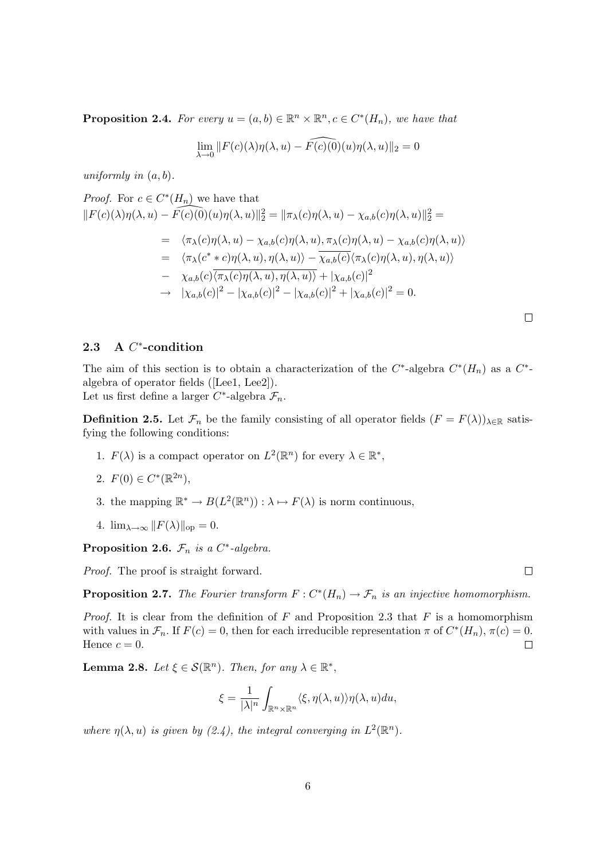**Proposition 2.4.** For every  $u = (a, b) \in \mathbb{R}^n \times \mathbb{R}^n, c \in C^*(H_n)$ , we have that

$$
\lim_{\lambda \to 0} ||F(c)(\lambda)\eta(\lambda, u) - \widehat{F(c)(0)}(u)\eta(\lambda, u)||_2 = 0
$$

uniformly in  $(a, b)$ .

Proof. For 
$$
c \in C^*(H_n)
$$
 we have that  
\n
$$
||F(c)(\lambda)\eta(\lambda, u) - F(c)(0)(u)\eta(\lambda, u)||_2^2 = ||\pi_\lambda(c)\eta(\lambda, u) - \chi_{a,b}(c)\eta(\lambda, u)||_2^2 =
$$
\n
$$
= \langle \pi_\lambda(c)\eta(\lambda, u) - \chi_{a,b}(c)\eta(\lambda, u), \pi_\lambda(c)\eta(\lambda, u) - \chi_{a,b}(c)\eta(\lambda, u) \rangle
$$
\n
$$
= \langle \pi_\lambda(c^* * c)\eta(\lambda, u), \eta(\lambda, u) \rangle - \overline{\chi_{a,b}(c)} \langle \pi_\lambda(c)\eta(\lambda, u), \eta(\lambda, u) \rangle
$$
\n
$$
- \chi_{a,b}(c)\overline{\langle \pi_\lambda(c)\eta(\lambda, u), \eta(\lambda, u) \rangle} + |\chi_{a,b}(c)|^2
$$
\n
$$
\to |\chi_{a,b}(c)|^2 - |\chi_{a,b}(c)|^2 - |\chi_{a,b}(c)|^2 + |\chi_{a,b}(c)|^2 = 0.
$$

## 2.3 A C<sup>\*</sup>-condition

The aim of this section is to obtain a characterization of the  $C^*$ -algebra  $C^*(H_n)$  as a  $C^*$ algebra of operator fields ([Lee1, Lee2]). Let us first define a larger  $C^*$ -algebra  $\mathcal{F}_n$ .

**Definition 2.5.** Let  $\mathcal{F}_n$  be the family consisting of all operator fields  $(F = F(\lambda))_{\lambda \in \mathbb{R}}$  satisfying the following conditions:

1.  $F(\lambda)$  is a compact operator on  $L^2(\mathbb{R}^n)$  for every  $\lambda \in \mathbb{R}^*$ ,

2. 
$$
F(0) \in C^*(\mathbb{R}^{2n}),
$$

- 3. the mapping  $\mathbb{R}^* \to B(L^2(\mathbb{R}^n)) : \lambda \mapsto F(\lambda)$  is norm continuous,
- 4.  $\lim_{\lambda \to \infty} ||F(\lambda)||_{\text{op}} = 0.$

Proposition 2.6.  $\mathcal{F}_n$  is a C<sup>\*</sup>-algebra.

Proof. The proof is straight forward.

**Proposition 2.7.** The Fourier transform  $F: C^*(H_n) \to \mathcal{F}_n$  is an injective homomorphism.

*Proof.* It is clear from the definition of  $F$  and Proposition 2.3 that  $F$  is a homomorphism with values in  $\mathcal{F}_n$ . If  $F(c) = 0$ , then for each irreducible representation  $\pi$  of  $C^*(H_n)$ ,  $\pi(c) = 0$ . Hence  $c = 0$ .  $\Box$ 

**Lemma 2.8.** Let  $\xi \in \mathcal{S}(\mathbb{R}^n)$ . Then, for any  $\lambda \in \mathbb{R}^*$ ,

$$
\xi = \frac{1}{|\lambda|^n} \int_{\mathbb{R}^n \times \mathbb{R}^n} \langle \xi, \eta(\lambda, u) \rangle \eta(\lambda, u) du,
$$

where  $\eta(\lambda, u)$  is given by (2.4), the integral converging in  $L^2(\mathbb{R}^n)$ .

 $\Box$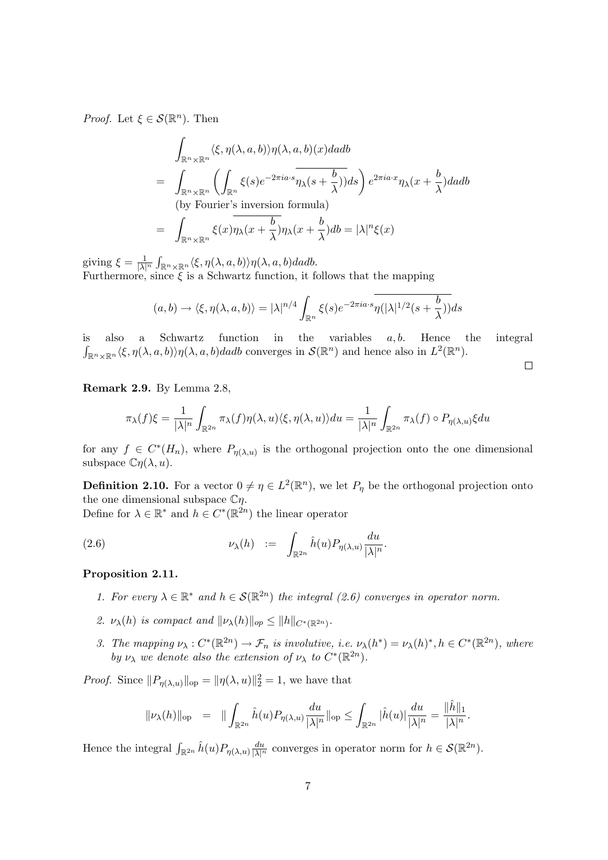*Proof.* Let  $\xi \in \mathcal{S}(\mathbb{R}^n)$ . Then

$$
\int_{\mathbb{R}^n \times \mathbb{R}^n} \langle \xi, \eta(\lambda, a, b) \rangle \eta(\lambda, a, b)(x) da db
$$
\n
$$
= \int_{\mathbb{R}^n \times \mathbb{R}^n} \left( \int_{\mathbb{R}^n} \xi(s) e^{-2\pi i a \cdot s} \overline{\eta_\lambda(s + \frac{b}{\lambda})} ds \right) e^{2\pi i a \cdot x} \eta_\lambda(x + \frac{b}{\lambda}) da db
$$
\n(by Fourier's inversion formula)\n
$$
= \int_{\mathbb{R}^n \times \mathbb{R}^n} \xi(x) \eta_\lambda(x + \frac{b}{\lambda}) \eta_\lambda(x + \frac{b}{\lambda}) db = |\lambda|^n \xi(x)
$$

giving  $\xi = \frac{1}{|\lambda|^n} \int_{\mathbb{R}^n \times \mathbb{R}^n} \langle \xi, \eta(\lambda, a, b) \rangle \eta(\lambda, a, b) da db.$ Furthermore, since  $\xi$  is a Schwartz function, it follows that the mapping

$$
(a,b) \to \langle \xi, \eta(\lambda, a, b) \rangle = |\lambda|^{n/4} \int_{\mathbb{R}^n} \xi(s) e^{-2\pi i a \cdot s} \overline{\eta(|\lambda|^{1/2} (s + \frac{b}{\lambda}))} ds
$$

is also a Schwartz function in the variables  $a, b$ . Hence the integral  $\int_{\mathbb{R}^n \times \mathbb{R}^n} \langle \xi, \eta(\lambda, a, b) \rangle \eta(\lambda, a, b) da db$  converges in  $\mathcal{S}(\mathbb{R}^n)$  and hence also in  $L^2(\mathbb{R}^n)$ .

 $\Box$ 

Remark 2.9. By Lemma 2.8,

$$
\pi_{\lambda}(f)\xi = \frac{1}{|\lambda|^n} \int_{\mathbb{R}^{2n}} \pi_{\lambda}(f)\eta(\lambda, u)\langle \xi, \eta(\lambda, u)\rangle du = \frac{1}{|\lambda|^n} \int_{\mathbb{R}^{2n}} \pi_{\lambda}(f) \circ P_{\eta(\lambda, u)}\xi du
$$

for any  $f \in C^*(H_n)$ , where  $P_{\eta(\lambda,u)}$  is the orthogonal projection onto the one dimensional subspace  $\mathbb{C}\eta(\lambda, u)$ .

**Definition 2.10.** For a vector  $0 \neq \eta \in L^2(\mathbb{R}^n)$ , we let  $P_{\eta}$  be the orthogonal projection onto the one dimensional subspace  $\mathbb{C}\eta$ .

Define for  $\lambda \in \mathbb{R}^*$  and  $h \in C^*(\mathbb{R}^{2n})$  the linear operator

(2.6) 
$$
\nu_{\lambda}(h) := \int_{\mathbb{R}^{2n}} \hat{h}(u) P_{\eta(\lambda,u)} \frac{du}{|\lambda|^n}.
$$

#### Proposition 2.11.

- 1. For every  $\lambda \in \mathbb{R}^*$  and  $h \in \mathcal{S}(\mathbb{R}^{2n})$  the integral (2.6) converges in operator norm.
- 2.  $\nu_{\lambda}(h)$  is compact and  $\|\nu_{\lambda}(h)\|_{op} \leq \|h\|_{C^*(\mathbb{R}^{2n})}$ .
- 3. The mapping  $\nu_{\lambda}: C^*(\mathbb{R}^{2n}) \to \mathcal{F}_n$  is involutive, i.e.  $\nu_{\lambda}(h^*) = \nu_{\lambda}(h)^*, h \in C^*(\mathbb{R}^{2n})$ , where by  $\nu_{\lambda}$  we denote also the extension of  $\nu_{\lambda}$  to  $C^*(\mathbb{R}^{2n})$ .

*Proof.* Since  $||P_{\eta(\lambda,u)}||_{op} = ||\eta(\lambda,u)||_2^2 = 1$ , we have that

$$
\|\nu_\lambda(h)\|_\mathrm{op}\ =\ \|\int_{\mathbb{R}^{2n}}\widehat{h}(u)P_{\eta(\lambda,u)}\frac{du}{|\lambda|^n}\|_\mathrm{op}\leq \int_{\mathbb{R}^{2n}}|\widehat{h}(u)|\frac{du}{|\lambda|^n}=\frac{\|\widehat{h}\|_1}{|\lambda|^n}.
$$

Hence the integral  $\int_{\mathbb{R}^{2n}} \hat{h}(u) P_{\eta(\lambda,u)} \frac{du}{|\lambda|^n}$  converges in operator norm for  $h \in \mathcal{S}(\mathbb{R}^{2n})$ .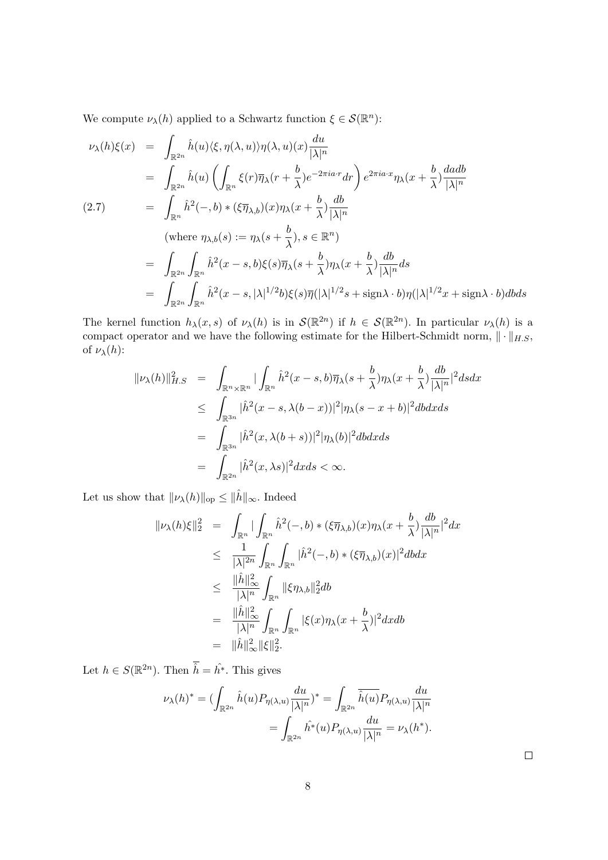We compute  $\nu_{\lambda}(h)$  applied to a Schwartz function  $\xi \in \mathcal{S}(\mathbb{R}^n)$ :

$$
\nu_{\lambda}(h)\xi(x) = \int_{\mathbb{R}^{2n}} \hat{h}(u)\langle \xi, \eta(\lambda, u)\rangle \eta(\lambda, u)(x) \frac{du}{|\lambda|^n}
$$
  
\n
$$
= \int_{\mathbb{R}^{2n}} \hat{h}(u) \left( \int_{\mathbb{R}^n} \xi(r)\overline{\eta}_{\lambda}(r + \frac{b}{\lambda})e^{-2\pi i a \cdot r} dr \right) e^{2\pi i a \cdot x} \eta_{\lambda}(x + \frac{b}{\lambda}) \frac{dadb}{|\lambda|^n}
$$
  
\n(2.7)  
\n
$$
= \int_{\mathbb{R}^n} \hat{h}^2(-,b) * (\xi \overline{\eta}_{\lambda,b})(x) \eta_{\lambda}(x + \frac{b}{\lambda}) \frac{db}{|\lambda|^n}
$$
  
\n(where  $\eta_{\lambda,b}(s) := \eta_{\lambda}(s + \frac{b}{\lambda}), s \in \mathbb{R}^n$ )  
\n
$$
= \int_{\mathbb{R}^{2n}} \int_{\mathbb{R}^n} \hat{h}^2(x - s, b)\xi(s) \overline{\eta}_{\lambda}(s + \frac{b}{\lambda}) \eta_{\lambda}(x + \frac{b}{\lambda}) \frac{db}{|\lambda|^n} ds
$$
  
\n
$$
= \int_{\mathbb{R}^{2n}} \int_{\mathbb{R}^n} \hat{h}^2(x - s, |\lambda|^{1/2} b)\xi(s) \overline{\eta}(|\lambda|^{1/2} s + \text{sign}\lambda \cdot b) \eta(|\lambda|^{1/2} x + \text{sign}\lambda \cdot b) db ds
$$

The kernel function  $h_{\lambda}(x, s)$  of  $\nu_{\lambda}(h)$  is in  $\mathcal{S}(\mathbb{R}^{2n})$  if  $h \in \mathcal{S}(\mathbb{R}^{2n})$ . In particular  $\nu_{\lambda}(h)$  is a compact operator and we have the following estimate for the Hilbert-Schmidt norm,  $\|\cdot\|_{H.S.}$ of  $\nu_{\lambda}(h)$ :

$$
\| \nu_{\lambda}(h) \|_{H.S}^2 = \int_{\mathbb{R}^n \times \mathbb{R}^n} | \int_{\mathbb{R}^n} \hat{h}^2(x - s, b) \overline{\eta}_{\lambda}(s + \frac{b}{\lambda}) \eta_{\lambda}(x + \frac{b}{\lambda}) \frac{db}{|\lambda|^n} |^2 ds dx
$$
  
\n
$$
\leq \int_{\mathbb{R}^{3n}} |\hat{h}^2(x - s, \lambda(b - x))|^2 |\eta_{\lambda}(s - x + b)|^2 db dx ds
$$
  
\n
$$
= \int_{\mathbb{R}^{3n}} |\hat{h}^2(x, \lambda(b + s))|^2 |\eta_{\lambda}(b)|^2 db dx ds
$$
  
\n
$$
= \int_{\mathbb{R}^{2n}} |\hat{h}^2(x, \lambda s)|^2 dx ds < \infty.
$$

Let us show that  $\|\nu_\lambda(h)\|_\mathrm{op} \leq \|\hat h\|_\infty.$  Indeed

$$
\|\nu_{\lambda}(h)\xi\|_{2}^{2} = \int_{\mathbb{R}^{n}} |\int_{\mathbb{R}^{n}} \hat{h}^{2}(-,b) * (\xi \overline{\eta}_{\lambda,b})(x)\eta_{\lambda}(x+\frac{b}{\lambda})\frac{db}{|\lambda|^{n}}|^{2} dx
$$
  
\n
$$
\leq \frac{1}{|\lambda|^{2n}} \int_{\mathbb{R}^{n}} \int_{\mathbb{R}^{n}} |\hat{h}^{2}(-,b) * (\xi \overline{\eta}_{\lambda,b})(x)|^{2} db dx
$$
  
\n
$$
\leq \frac{\|\hat{h}\|_{\infty}^{2}}{|\lambda|^{n}} \int_{\mathbb{R}^{n}} |\xi \eta_{\lambda,b}|_{2}^{2} db
$$
  
\n
$$
= \frac{\|\hat{h}\|_{\infty}^{2}}{|\lambda|^{n}} \int_{\mathbb{R}^{n}} \int_{\mathbb{R}^{n}} |\xi(x)\eta_{\lambda}(x+\frac{b}{\lambda})|^{2} dx db
$$
  
\n
$$
= \|\hat{h}\|_{\infty}^{2} \|\xi\|_{2}^{2}.
$$

Let  $h \in S(\mathbb{R}^{2n})$ . Then  $\hat{h} = \hat{h}^*$ . This gives

$$
\nu_{\lambda}(h)^{*} = \left(\int_{\mathbb{R}^{2n}} \hat{h}(u) P_{\eta(\lambda,u)} \frac{du}{|\lambda|^{n}}\right)^{*} = \int_{\mathbb{R}^{2n}} \overline{\hat{h}(u)} P_{\eta(\lambda,u)} \frac{du}{|\lambda|^{n}}
$$

$$
= \int_{\mathbb{R}^{2n}} \hat{h}^{*}(u) P_{\eta(\lambda,u)} \frac{du}{|\lambda|^{n}} = \nu_{\lambda}(h^{*}).
$$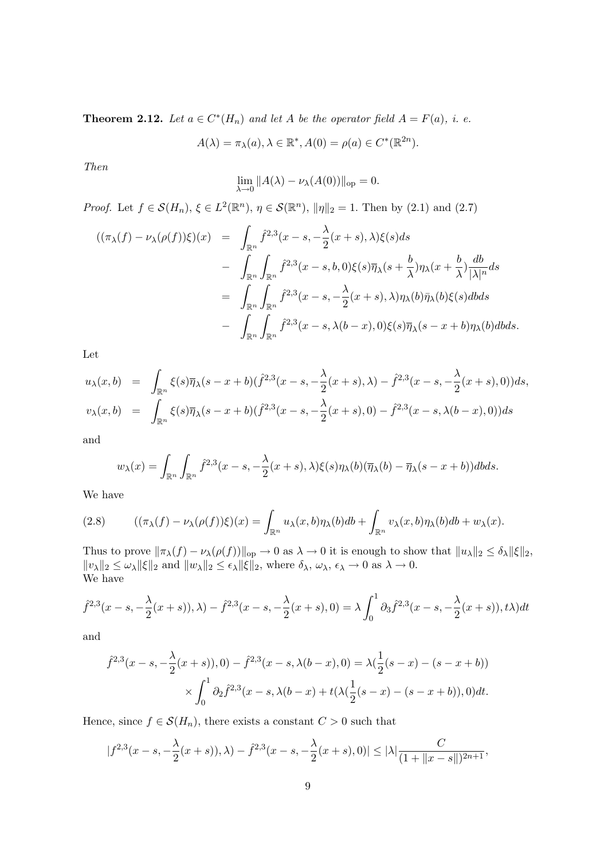**Theorem 2.12.** Let  $a \in C^*(H_n)$  and let A be the operator field  $A = F(a)$ , i. e.

$$
A(\lambda) = \pi_{\lambda}(a), \lambda \in \mathbb{R}^*, A(0) = \rho(a) \in C^*(\mathbb{R}^{2n}).
$$

Then

$$
\lim_{\lambda \to 0} ||A(\lambda) - \nu_{\lambda}(A(0))||_{\text{op}} = 0.
$$

*Proof.* Let  $f \in \mathcal{S}(H_n)$ ,  $\xi \in L^2(\mathbb{R}^n)$ ,  $\eta \in \mathcal{S}(\mathbb{R}^n)$ ,  $\|\eta\|_2 = 1$ . Then by (2.1) and (2.7)

$$
\begin{array}{rcl}\n((\pi_{\lambda}(f) - \nu_{\lambda}(\rho(f))\xi)(x) & = & \displaystyle\int_{\mathbb{R}^n} \hat{f}^{2,3}(x-s,-\frac{\lambda}{2}(x+s),\lambda)\xi(s)ds \\
& & - \displaystyle\int_{\mathbb{R}^n} \int_{\mathbb{R}^n} \hat{f}^{2,3}(x-s,b,0)\xi(s)\overline{\eta}_{\lambda}(s+\frac{b}{\lambda})\eta_{\lambda}(x+\frac{b}{\lambda})\frac{db}{|\lambda|^n}ds \\
& = & \displaystyle\int_{\mathbb{R}^n} \int_{\mathbb{R}^n} \hat{f}^{2,3}(x-s,-\frac{\lambda}{2}(x+s),\lambda)\eta_{\lambda}(b)\overline{\eta}_{\lambda}(b)\xi(s)dbds \\
& & - \displaystyle\int_{\mathbb{R}^n} \int_{\mathbb{R}^n} \hat{f}^{2,3}(x-s,\lambda(b-x),0)\xi(s)\overline{\eta}_{\lambda}(s-x+b)\eta_{\lambda}(b)dbds.\n\end{array}
$$

Let

$$
u_{\lambda}(x,b) = \int_{\mathbb{R}^n} \xi(s)\overline{\eta}_{\lambda}(s-x+b)(\hat{f}^{2,3}(x-s,-\frac{\lambda}{2}(x+s),\lambda) - \hat{f}^{2,3}(x-s,-\frac{\lambda}{2}(x+s),0))ds,
$$
  

$$
v_{\lambda}(x,b) = \int_{\mathbb{R}^n} \xi(s)\overline{\eta}_{\lambda}(s-x+b)(\hat{f}^{2,3}(x-s,-\frac{\lambda}{2}(x+s),0) - \hat{f}^{2,3}(x-s,\lambda(b-x),0))ds
$$

and

$$
w_{\lambda}(x) = \int_{\mathbb{R}^n} \int_{\mathbb{R}^n} \hat{f}^{2,3}(x-s,-\frac{\lambda}{2}(x+s),\lambda)\xi(s)\eta_{\lambda}(b)(\overline{\eta}_{\lambda}(b)-\overline{\eta}_{\lambda}(s-x+b))dbds.
$$

We have

(2.8) 
$$
((\pi_{\lambda}(f) - \nu_{\lambda}(\rho(f))\xi)(x) = \int_{\mathbb{R}^n} u_{\lambda}(x, b)\eta_{\lambda}(b)db + \int_{\mathbb{R}^n} v_{\lambda}(x, b)\eta_{\lambda}(b)db + w_{\lambda}(x).
$$

Thus to prove  $\|\pi_{\lambda}(f) - \nu_{\lambda}(\rho(f))\|_{\text{op}} \to 0$  as  $\lambda \to 0$  it is enough to show that  $\|u_{\lambda}\|_{2} \leq \delta_{\lambda} \|\xi\|_{2}$ ,  $||v_\lambda||_2 \leq \omega_\lambda ||\xi||_2$  and  $||w_\lambda||_2 \leq \epsilon_\lambda ||\xi||_2$ , where  $\delta_\lambda$ ,  $\omega_\lambda$ ,  $\epsilon_\lambda \to 0$  as  $\lambda \to 0$ . We have

$$
\hat{f}^{2,3}(x-s,-\frac{\lambda}{2}(x+s)),\lambda) - \hat{f}^{2,3}(x-s,-\frac{\lambda}{2}(x+s),0) = \lambda \int_0^1 \partial_3 \hat{f}^{2,3}(x-s,-\frac{\lambda}{2}(x+s)),t\lambda)dt
$$

and

$$
\hat{f}^{2,3}(x-s,-\frac{\lambda}{2}(x+s)),0) - \hat{f}^{2,3}(x-s,\lambda(b-x),0) = \lambda(\frac{1}{2}(s-x) - (s-x+b))
$$

$$
\times \int_0^1 \partial_2 \hat{f}^{2,3}(x-s,\lambda(b-x) + t(\lambda(\frac{1}{2}(s-x) - (s-x+b)),0)dt.
$$

Hence, since  $f \in \mathcal{S}(H_n)$ , there exists a constant  $C > 0$  such that

$$
|f^{2,3}(x-s,-\frac{\lambda}{2}(x+s)),\lambda)-\hat{f}^{2,3}(x-s,-\frac{\lambda}{2}(x+s),0)|\leq |\lambda|\frac{C}{(1+\|x-s\|)^{2n+1}},
$$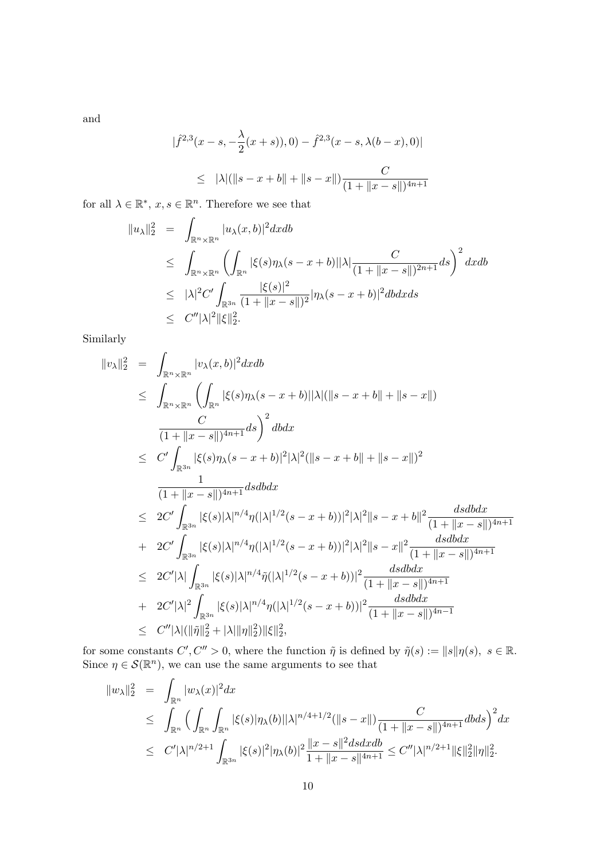and

$$
|\hat{f}^{2,3}(x-s,-\frac{\lambda}{2}(x+s)),0) - \hat{f}^{2,3}(x-s,\lambda(b-x),0)|
$$
  
\n
$$
\leq |\lambda|(\|s-x+b\|+\|s-x\|)\frac{C}{(1+\|x-s\|)^{4n+1}}
$$

for all  $\lambda \in \mathbb{R}^*, x, s \in \mathbb{R}^n$ . Therefore we see that

$$
\|u_{\lambda}\|_{2}^{2} = \int_{\mathbb{R}^{n} \times \mathbb{R}^{n}} |u_{\lambda}(x, b)|^{2} dx db
$$
  
\n
$$
\leq \int_{\mathbb{R}^{n} \times \mathbb{R}^{n}} \left( \int_{\mathbb{R}^{n}} |\xi(s)\eta_{\lambda}(s - x + b)| |\lambda| \frac{C}{(1 + \|x - s\|)^{2n+1}} ds \right)^{2} dx db
$$
  
\n
$$
\leq |\lambda|^{2} C' \int_{\mathbb{R}^{3n}} \frac{|\xi(s)|^{2}}{(1 + \|x - s\|)^{2}} |\eta_{\lambda}(s - x + b)|^{2} db dx ds
$$
  
\n
$$
\leq C'' |\lambda|^{2} \|\xi\|_{2}^{2}.
$$

Similarly

$$
||v_{\lambda}||_{2}^{2} = \int_{\mathbb{R}^{n} \times \mathbb{R}^{n}} |v_{\lambda}(x, b)|^{2} dx db
$$
  
\n
$$
\leq \int_{\mathbb{R}^{n} \times \mathbb{R}^{n}} \left( \int_{\mathbb{R}^{n}} |\xi(s)\eta_{\lambda}(s - x + b)| |\lambda| (||s - x + b|| + ||s - x||) \right)
$$
  
\n
$$
\frac{C}{(1 + ||x - s||)^{4n+1}} ds \right)^{2} db dx
$$
  
\n
$$
\leq C' \int_{\mathbb{R}^{3n}} |\xi(s)\eta_{\lambda}(s - x + b)|^{2} |\lambda|^{2} (||s - x + b|| + ||s - x||)^{2}
$$
  
\n
$$
\frac{1}{(1 + ||x - s||)^{4n+1}} ds db dx
$$
  
\n
$$
\leq 2C' \int_{\mathbb{R}^{3n}} |\xi(s)| |\lambda|^{n/4} \eta(|\lambda|^{1/2} (s - x + b))|^{2} |\lambda|^{2} ||s - x + b||^{2} \frac{dsdb dx}{(1 + ||x - s||)^{4n+1}}
$$
  
\n
$$
+ 2C' \int_{\mathbb{R}^{3n}} |\xi(s)| |\lambda|^{n/4} \eta(|\lambda|^{1/2} (s - x + b))|^{2} |\lambda|^{2} ||s - x||^{2} \frac{dsdb dx}{(1 + ||x - s||)^{4n+1}}
$$
  
\n
$$
\leq 2C' |\lambda| \int_{\mathbb{R}^{3n}} |\xi(s)| |\lambda|^{n/4} \tilde{\eta}(|\lambda|^{1/2} (s - x + b))|^{2} \frac{dsdb dx}{(1 + ||x - s||)^{4n+1}}
$$
  
\n
$$
+ 2C' |\lambda|^{2} \int_{\mathbb{R}^{3n}} |\xi(s)| |\lambda|^{n/4} \eta(|\lambda|^{1/2} (s - x + b))|^{2} \frac{dsdb dx}{(1 + ||x - s||)^{4n+1}}
$$
  
\n
$$
\leq C'' |\lambda| (||\tilde{\eta}||_{2}^{2} + |\lambda| ||\eta||_{2}^{2}) ||\xi||_{2}^{2},
$$

for some constants  $C', C'' > 0$ , where the function  $\tilde{\eta}$  is defined by  $\tilde{\eta}(s) := ||s|| \eta(s), s \in \mathbb{R}$ . Since  $\eta \in \mathcal{S}(\mathbb{R}^n)$ , we can use the same arguments to see that

$$
\|w_{\lambda}\|_{2}^{2} = \int_{\mathbb{R}^{n}} |w_{\lambda}(x)|^{2} dx
$$
  
\n
$$
\leq \int_{\mathbb{R}^{n}} \left( \int_{\mathbb{R}^{n}} \int_{\mathbb{R}^{n}} |\xi(s)| \eta_{\lambda}(b)| |\lambda|^{n/4+1/2} (||s-x||) \frac{C}{(1+||x-s||)^{4n+1}} db ds \right)^{2} dx
$$
  
\n
$$
\leq C' |\lambda|^{n/2+1} \int_{\mathbb{R}^{3n}} |\xi(s)|^{2} |\eta_{\lambda}(b)|^{2} \frac{||x-s||^{2} ds dx db}{1+||x-s||^{4n+1}} \leq C'' |\lambda|^{n/2+1} ||\xi||_{2}^{2} ||\eta||_{2}^{2}.
$$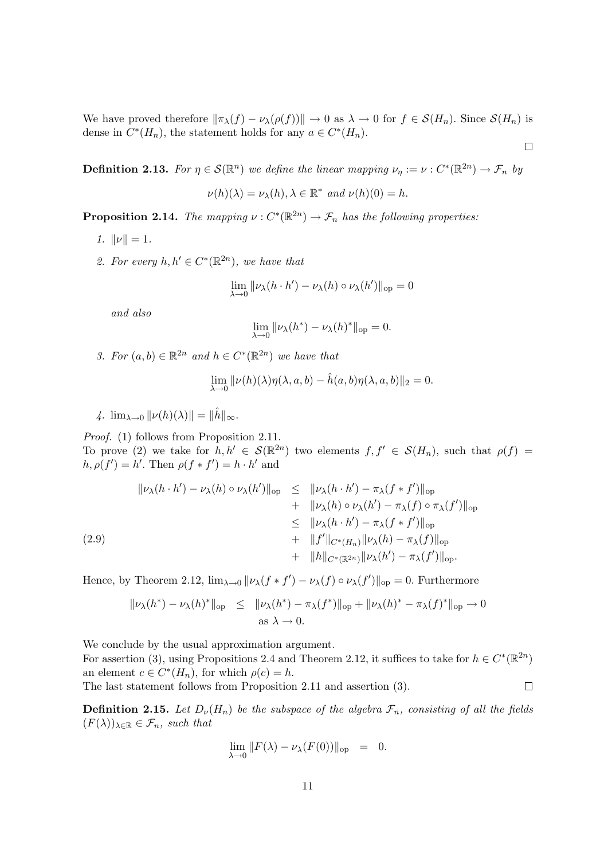We have proved therefore  $\|\pi_\lambda(f) - \nu_\lambda(\rho(f))\| \to 0$  as  $\lambda \to 0$  for  $f \in \mathcal{S}(H_n)$ . Since  $\mathcal{S}(H_n)$  is dense in  $C^*(H_n)$ , the statement holds for any  $a \in C^*(H_n)$ .

 $\Box$ 

**Definition 2.13.** For  $\eta \in \mathcal{S}(\mathbb{R}^n)$  we define the linear mapping  $\nu_{\eta} := \nu : C^*(\mathbb{R}^{2n}) \to \mathcal{F}_n$  by

$$
\nu(h)(\lambda) = \nu_{\lambda}(h), \lambda \in \mathbb{R}^* \text{ and } \nu(h)(0) = h.
$$

**Proposition 2.14.** The mapping  $\nu: C^*(\mathbb{R}^{2n}) \to \mathcal{F}_n$  has the following properties:

- 1.  $\|\nu\| = 1$ .
- 2. For every  $h, h' \in C^*(\mathbb{R}^{2n})$ , we have that

$$
\lim_{\lambda \to 0} ||\nu_{\lambda}(h \cdot h') - \nu_{\lambda}(h) \circ \nu_{\lambda}(h')||_{\text{op}} = 0
$$

and also

$$
\lim_{\lambda \to 0} \|\nu_{\lambda}(h^*) - \nu_{\lambda}(h)^*\|_{\text{op}} = 0.
$$

3. For  $(a, b) \in \mathbb{R}^{2n}$  and  $h \in C^*(\mathbb{R}^{2n})$  we have that

$$
\lim_{\lambda \to 0} ||\nu(h)(\lambda)\eta(\lambda, a, b) - \hat{h}(a, b)\eta(\lambda, a, b)||_2 = 0.
$$

4.  $\lim_{\lambda\to 0} ||\nu(h)(\lambda)|| = ||\hat{h}||_{\infty}$ .

Proof. (1) follows from Proposition 2.11. To prove (2) we take for  $h, h' \in \mathcal{S}(\mathbb{R}^{2n})$  two elements  $f, f' \in \mathcal{S}(H_n)$ , such that  $\rho(f) =$  $h, \rho(f') = h'$ . Then  $\rho(f * f') = h \cdot h'$  and

$$
\| \nu_{\lambda}(h \cdot h') - \nu_{\lambda}(h) \circ \nu_{\lambda}(h') \|_{op} \leq \| \nu_{\lambda}(h \cdot h') - \pi_{\lambda}(f * f') \|_{op} + \| \nu_{\lambda}(h) \circ \nu_{\lambda}(h') - \pi_{\lambda}(f) \circ \pi_{\lambda}(f') \|_{op} \leq \| \nu_{\lambda}(h \cdot h') - \pi_{\lambda}(f * f') \|_{op} + \| f' \|_{C^{*}(H_{n})} \| \nu_{\lambda}(h) - \pi_{\lambda}(f) \|_{op} + \| h \|_{C^{*}(\mathbb{R}^{2n})} \| \nu_{\lambda}(h') - \pi_{\lambda}(f') \|_{op}.
$$

Hence, by Theorem 2.12,  $\lim_{\lambda\to 0} ||\nu_{\lambda}(f * f') - \nu_{\lambda}(f) \circ \nu_{\lambda}(f')||_{op} = 0$ . Furthermore

$$
\|\nu_{\lambda}(h^*) - \nu_{\lambda}(h)^*\|_{\text{op}} \leq \|\nu_{\lambda}(h^*) - \pi_{\lambda}(f^*)\|_{\text{op}} + \|\nu_{\lambda}(h)^* - \pi_{\lambda}(f)^*\|_{\text{op}} \to 0
$$
  
as  $\lambda \to 0$ .

We conclude by the usual approximation argument.

For assertion (3), using Propositions 2.4 and Theorem 2.12, it suffices to take for  $h \in C^*(\mathbb{R}^{2n})$ an element  $c \in C^*(H_n)$ , for which  $\rho(c) = h$ . The last statement follows from Proposition 2.11 and assertion (3).  $\Box$ 

**Definition 2.15.** Let  $D_{\nu}(H_n)$  be the subspace of the algebra  $\mathcal{F}_n$ , consisting of all the fields  $(F(\lambda))_{\lambda \in \mathbb{R}} \in \mathcal{F}_n$ , such that

$$
\lim_{\lambda \to 0} ||F(\lambda) - \nu_{\lambda}(F(0))||_{\text{op}} = 0.
$$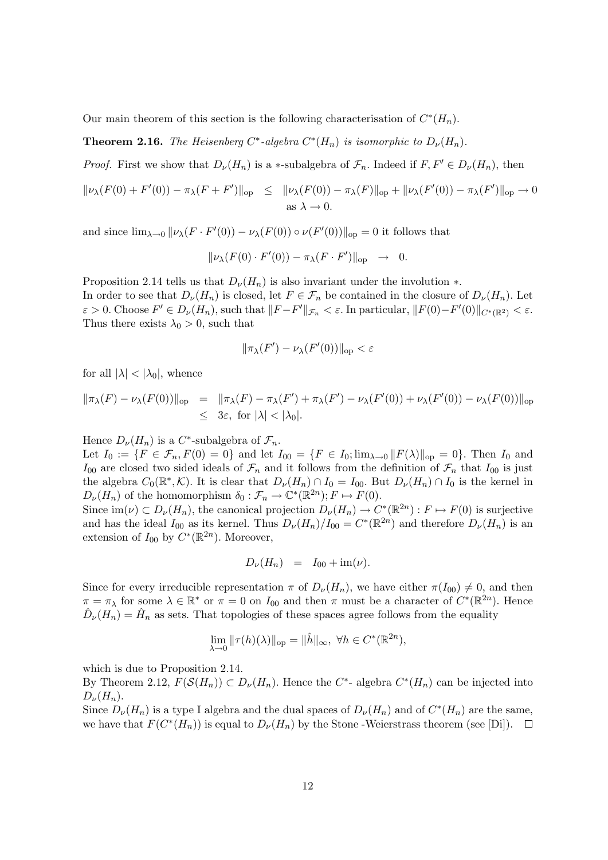Our main theorem of this section is the following characterisation of  $C^*(H_n)$ .

**Theorem 2.16.** The Heisenberg  $C^*$ -algebra  $C^*(H_n)$  is isomorphic to  $D_{\nu}(H_n)$ .

*Proof.* First we show that  $D_{\nu}(H_n)$  is a \*-subalgebra of  $\mathcal{F}_n$ . Indeed if  $F, F' \in D_{\nu}(H_n)$ , then

$$
\|\nu_{\lambda}(F(0) + F'(0)) - \pi_{\lambda}(F + F')\|_{\text{op}} \leq \|\nu_{\lambda}(F(0)) - \pi_{\lambda}(F)\|_{\text{op}} + \|\nu_{\lambda}(F'(0)) - \pi_{\lambda}(F')\|_{\text{op}} \to 0
$$
  
as  $\lambda \to 0$ .

and since  $\lim_{\lambda\to 0} ||\nu_{\lambda}(F\cdot F'(0)) - \nu_{\lambda}(F(0)) \circ \nu(F'(0))||_{\text{op}} = 0$  it follows that

$$
\|\nu_{\lambda}(F(0)\cdot F'(0)) - \pi_{\lambda}(F\cdot F')\|_{\text{op}} \quad \to \quad 0.
$$

Proposition 2.14 tells us that  $D_{\nu}(H_n)$  is also invariant under the involution  $\ast$ . In order to see that  $D_{\nu}(H_n)$  is closed, let  $F \in \mathcal{F}_n$  be contained in the closure of  $D_{\nu}(H_n)$ . Let  $\varepsilon > 0$ . Choose  $F' \in D_{\nu}(H_n)$ , such that  $||F - F'||_{\mathcal{F}_n} < \varepsilon$ . In particular,  $||F(0) - F'(0)||_{C^*(\mathbb{R}^2)} < \varepsilon$ . Thus there exists  $\lambda_0 > 0$ , such that

$$
\|\pi_{\lambda}(F') - \nu_{\lambda}(F'(0))\|_{\text{op}} < \varepsilon
$$

for all  $|\lambda| < |\lambda_0|$ , whence

$$
\begin{array}{rcl}\n\|\pi_{\lambda}(F) - \nu_{\lambda}(F(0))\|_{\text{op}} & = & \|\pi_{\lambda}(F) - \pi_{\lambda}(F') + \pi_{\lambda}(F') - \nu_{\lambda}(F'(0)) + \nu_{\lambda}(F'(0)) - \nu_{\lambda}(F(0))\|_{\text{op}} \\
& \leq & 3\varepsilon, \text{ for } |\lambda| < |\lambda_0|. \n\end{array}
$$

Hence  $D_{\nu}(H_n)$  is a C<sup>\*</sup>-subalgebra of  $\mathcal{F}_n$ .

Let  $I_0 := \{F \in \mathcal{F}_n, F(0) = 0\}$  and let  $I_{00} = \{F \in I_0; \lim_{\lambda \to 0} ||F(\lambda)||_{\text{op}} = 0\}$ . Then  $I_0$  and  $I_{00}$  are closed two sided ideals of  $\mathcal{F}_n$  and it follows from the definition of  $\mathcal{F}_n$  that  $I_{00}$  is just the algebra  $C_0(\mathbb{R}^*,\mathcal{K})$ . It is clear that  $D_\nu(H_n) \cap I_0 = I_{00}$ . But  $D_\nu(H_n) \cap I_0$  is the kernel in  $D_{\nu}(H_n)$  of the homomorphism  $\delta_0 : \mathcal{F}_n \to \mathbb{C}^*(\mathbb{R}^{2n})$ ;  $F \mapsto F(0)$ .

Since  $\text{im}(\nu) \subset D_{\nu}(H_n)$ , the canonical projection  $D_{\nu}(H_n) \to C^*(\mathbb{R}^{2n}) : F \mapsto F(0)$  is surjective and has the ideal  $I_{00}$  as its kernel. Thus  $D_{\nu}(H_n)/I_{00} = C^*(\mathbb{R}^{2n})$  and therefore  $D_{\nu}(H_n)$  is an extension of  $I_{00}$  by  $C^*(\mathbb{R}^{2n})$ . Moreover,

$$
D_{\nu}(H_n) = I_{00} + \text{im}(\nu).
$$

Since for every irreducible representation  $\pi$  of  $D_{\nu}(H_n)$ , we have either  $\pi(I_{00}) \neq 0$ , and then  $\pi = \pi_{\lambda}$  for some  $\lambda \in \mathbb{R}^*$  or  $\pi = 0$  on  $I_{00}$  and then  $\pi$  must be a character of  $C^*(\mathbb{R}^{2n})$ . Hence  $\hat{D}_{\nu}(H_n) = \hat{H}_n$  as sets. That topologies of these spaces agree follows from the equality

$$
\lim_{\lambda \to 0} ||\tau(h)(\lambda)||_{\text{op}} = ||\hat{h}||_{\infty}, \ \forall h \in C^*(\mathbb{R}^{2n}),
$$

which is due to Proposition 2.14.

By Theorem 2.12,  $F(\mathcal{S}(H_n)) \subset D_{\nu}(H_n)$ . Hence the  $C^*$ - algebra  $C^*(H_n)$  can be injected into  $D_{\nu}(H_n)$ .

Since  $D_{\nu}(H_n)$  is a type I algebra and the dual spaces of  $D_{\nu}(H_n)$  and of  $C^*(H_n)$  are the same, we have that  $F(C^*(H_n))$  is equal to  $D_\nu(H_n)$  by the Stone -Weierstrass theorem (see [Di]).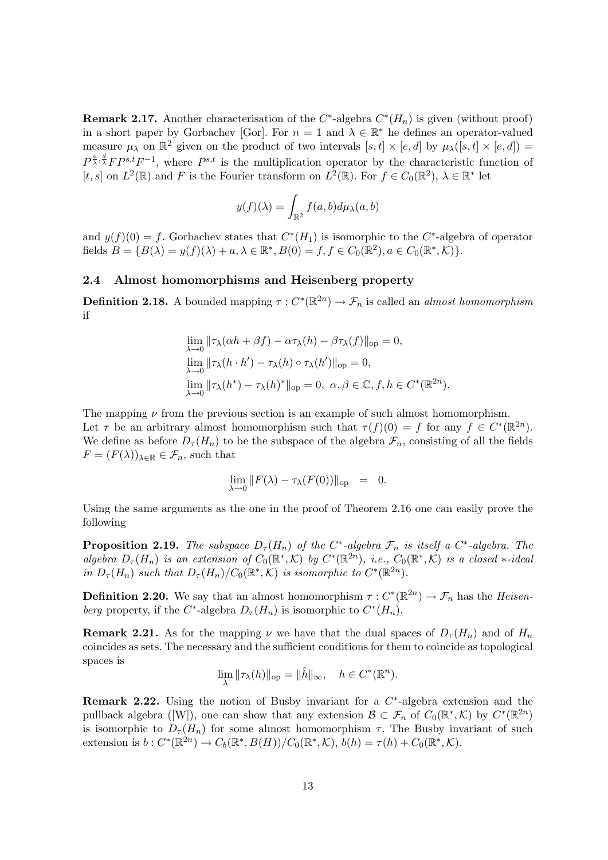**Remark 2.17.** Another characterisation of the  $C^*$ -algebra  $C^*(H_n)$  is given (without proof) in a short paper by Gorbachev [Gor]. For  $n = 1$  and  $\lambda \in \mathbb{R}^*$  he defines an operator-valued measure  $\mu_{\lambda}$  on  $\mathbb{R}^2$  given on the product of two intervals  $[s, t] \times [e, d]$  by  $\mu_{\lambda}([s, t] \times [e, d]) =$  $P^{\frac{e}{\lambda},\frac{d}{\lambda}}FP^{s,t}F^{-1}$ , where  $P^{s,t}$  is the multiplication operator by the characteristic function of [t, s] on  $L^2(\mathbb{R})$  and F is the Fourier transform on  $L^2(\mathbb{R})$ . For  $f \in C_0(\mathbb{R}^2)$ ,  $\lambda \in \mathbb{R}^*$  let

$$
y(f)(\lambda) = \int_{\mathbb{R}^2} f(a, b) d\mu_{\lambda}(a, b)
$$

and  $y(f)(0) = f$ . Gorbachev states that  $C^*(H_1)$  is isomorphic to the  $C^*$ -algebra of operator fields  $B = \{B(\lambda) = y(f)(\lambda) + a, \lambda \in \mathbb{R}^*, B(0) = f, f \in C_0(\mathbb{R}^2), a \in C_0(\mathbb{R}^*, \mathcal{K})\}.$ 

#### 2.4 Almost homomorphisms and Heisenberg property

**Definition 2.18.** A bounded mapping  $\tau: C^*(\mathbb{R}^{2n}) \to \mathcal{F}_n$  is called an *almost homomorphism* if

$$
\lim_{\lambda \to 0} ||\tau_{\lambda}(\alpha h + \beta f) - \alpha \tau_{\lambda}(h) - \beta \tau_{\lambda}(f)||_{\text{op}} = 0,
$$
  
\n
$$
\lim_{\lambda \to 0} ||\tau_{\lambda}(h \cdot h') - \tau_{\lambda}(h) \circ \tau_{\lambda}(h')||_{\text{op}} = 0,
$$
  
\n
$$
\lim_{\lambda \to 0} ||\tau_{\lambda}(h^{*}) - \tau_{\lambda}(h)^{*}||_{\text{op}} = 0, \ \alpha, \beta \in \mathbb{C}, f, h \in C^{*}(\mathbb{R}^{2n}).
$$

The mapping  $\nu$  from the previous section is an example of such almost homomorphism. Let  $\tau$  be an arbitrary almost homomorphism such that  $\tau(f)(0) = f$  for any  $f \in C^*(\mathbb{R}^{2n})$ . We define as before  $D_{\tau}(H_n)$  to be the subspace of the algebra  $\mathcal{F}_n$ , consisting of all the fields  $F = (F(\lambda))_{\lambda \in \mathbb{R}} \in \mathcal{F}_n$ , such that

$$
\lim_{\lambda \to 0} ||F(\lambda) - \tau_{\lambda}(F(0))||_{\text{op}} = 0.
$$

Using the same arguments as the one in the proof of Theorem 2.16 one can easily prove the following

**Proposition 2.19.** The subspace  $D_{\tau}(H_n)$  of the C<sup>\*</sup>-algebra  $\mathcal{F}_n$  is itself a C<sup>\*</sup>-algebra. The algebra  $D_{\tau}(H_n)$  is an extension of  $C_0(\mathbb{R}^*,\mathcal{K})$  by  $C^*(\mathbb{R}^{2n})$ , i.e.,  $C_0(\mathbb{R}^*,\mathcal{K})$  is a closed \*-ideal in  $D_{\tau}(H_n)$  such that  $D_{\tau}(H_n)/C_0(\mathbb{R}^*,\mathcal{K})$  is isomorphic to  $C^*(\mathbb{R}^{2n})$ .

**Definition 2.20.** We say that an almost homomorphism  $\tau: C^*(\mathbb{R}^{2n}) \to \mathcal{F}_n$  has the *Heisen*berg property, if the C<sup>\*</sup>-algebra  $D_{\tau}(H_n)$  is isomorphic to  $C^*(H_n)$ .

**Remark 2.21.** As for the mapping  $\nu$  we have that the dual spaces of  $D_{\tau}(H_n)$  and of  $H_n$ coincides as sets. The necessary and the sufficient conditions for them to coincide as topological spaces is

$$
\lim_{\lambda} ||\tau_{\lambda}(h)||_{\text{op}} = ||\hat{h}||_{\infty}, \quad h \in C^*(\mathbb{R}^n).
$$

**Remark 2.22.** Using the notion of Busby invariant for a  $C^*$ -algebra extension and the pullback algebra ([W]), one can show that any extension  $\mathcal{B} \subset \mathcal{F}_n$  of  $C_0(\mathbb{R}^*,\mathcal{K})$  by  $C^*(\mathbb{R}^{2n})$ is isomorphic to  $D_{\tau}(H_n)$  for some almost homomorphism  $\tau$ . The Busby invariant of such extension is  $b: C^*(\mathbb{R}^{2n}) \to C_b(\mathbb{R}^*, B(H))/C_0(\mathbb{R}^*, \mathcal{K}), b(h) = \tau(h) + C_0(\mathbb{R}^*, \mathcal{K}).$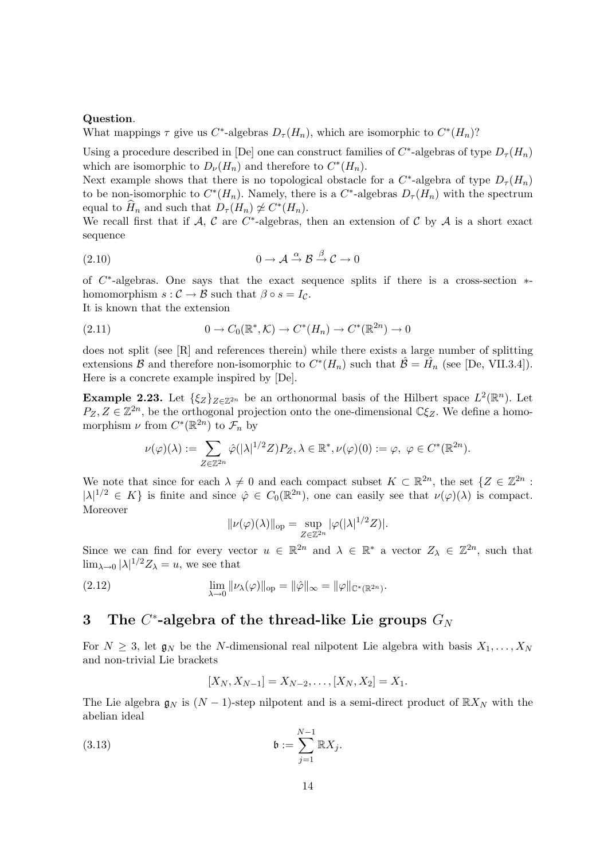#### Question.

What mappings  $\tau$  give us  $C^*$ -algebras  $D_{\tau}(H_n)$ , which are isomorphic to  $C^*(H_n)$ ?

Using a procedure described in [De] one can construct families of  $C^*$ -algebras of type  $D_{\tau}(H_n)$ which are isomorphic to  $D_{\nu}(H_n)$  and therefore to  $C^*(H_n)$ .

Next example shows that there is no topological obstacle for a  $C^*$ -algebra of type  $D_{\tau}(H_n)$ to be non-isomorphic to  $C^*(H_n)$ . Namely, there is a  $C^*$ -algebras  $D_{\tau}(H_n)$  with the spectrum equal to  $\widehat{H}_n$  and such that  $D_\tau(H_n) \ncong C^*(H_n)$ .

We recall first that if  $A, C$  are  $C^*$ -algebras, then an extension of C by A is a short exact sequence

$$
(2.10) \t\t 0 \to \mathcal{A} \stackrel{\alpha}{\to} \mathcal{B} \stackrel{\beta}{\to} \mathcal{C} \to 0
$$

of C ∗ -algebras. One says that the exact sequence splits if there is a cross-section ∗ homomorphism  $s : \mathcal{C} \to \mathcal{B}$  such that  $\beta \circ s = I_{\mathcal{C}}$ . It is known that the extension

(2.11)  $0 \to C_0(\mathbb{R}^*, \mathcal{K}) \to C^*(H_n) \to C^*(\mathbb{R}^{2n}) \to 0$ 

does not split (see [R] and references therein) while there exists a large number of splitting extensions B and therefore non-isomorphic to  $C^*(H_n)$  such that  $\hat{\mathcal{B}} = \hat{H}_n$  (see [De, VII.3.4]). Here is a concrete example inspired by [De].

**Example 2.23.** Let  $\{\xi_Z\}_{Z\in\mathbb{Z}^{2n}}$  be an orthonormal basis of the Hilbert space  $L^2(\mathbb{R}^n)$ . Let  $P_Z, Z \in \mathbb{Z}^{2n}$ , be the orthogonal projection onto the one-dimensional  $\mathbb{C}\xi_Z$ . We define a homomorphism  $\nu$  from  $C^*(\mathbb{R}^{2n})$  to  $\mathcal{F}_n$  by

$$
\nu(\varphi)(\lambda) := \sum_{Z \in \mathbb{Z}^{2n}} \hat{\varphi}(|\lambda|^{1/2} Z) P_Z, \lambda \in \mathbb{R}^*, \nu(\varphi)(0) := \varphi, \ \varphi \in C^*(\mathbb{R}^{2n}).
$$

We note that since for each  $\lambda \neq 0$  and each compact subset  $K \subset \mathbb{R}^{2n}$ , the set  $\{Z \in \mathbb{Z}^{2n}$ :  $|\lambda|^{1/2} \in K$  is finite and since  $\hat{\varphi} \in C_0(\mathbb{R}^{2n})$ , one can easily see that  $\nu(\varphi)(\lambda)$  is compact. Moreover

$$
\|\nu(\varphi)(\lambda)\|_{\text{op}} = \sup_{Z \in \mathbb{Z}^{2n}} |\varphi(|\lambda|^{1/2} Z)|.
$$

Since we can find for every vector  $u \in \mathbb{R}^{2n}$  and  $\lambda \in \mathbb{R}^*$  a vector  $Z_{\lambda} \in \mathbb{Z}^{2n}$ , such that  $\lim_{\lambda\to 0} |\lambda|^{1/2} Z_{\lambda} = u$ , we see that

(2.12) 
$$
\lim_{\lambda \to 0} ||\nu_{\lambda}(\varphi)||_{op} = ||\hat{\varphi}||_{\infty} = ||\varphi||_{\mathbb{C}^{*}(\mathbb{R}^{2n})}.
$$

## 3 The  $C^*$ -algebra of the thread-like Lie groups  $G_N$

For  $N \geq 3$ , let  $\mathfrak{g}_N$  be the N-dimensional real nilpotent Lie algebra with basis  $X_1, \ldots, X_N$ and non-trivial Lie brackets

$$
[X_N, X_{N-1}] = X_{N-2}, \dots, [X_N, X_2] = X_1.
$$

The Lie algebra  $\mathfrak{g}_N$  is  $(N-1)$ -step nilpotent and is a semi-direct product of  $\mathbb{R}X_N$  with the abelian ideal

$$
(3.13) \t\t b := \sum_{j=1}^{N-1} \mathbb{R} X_j.
$$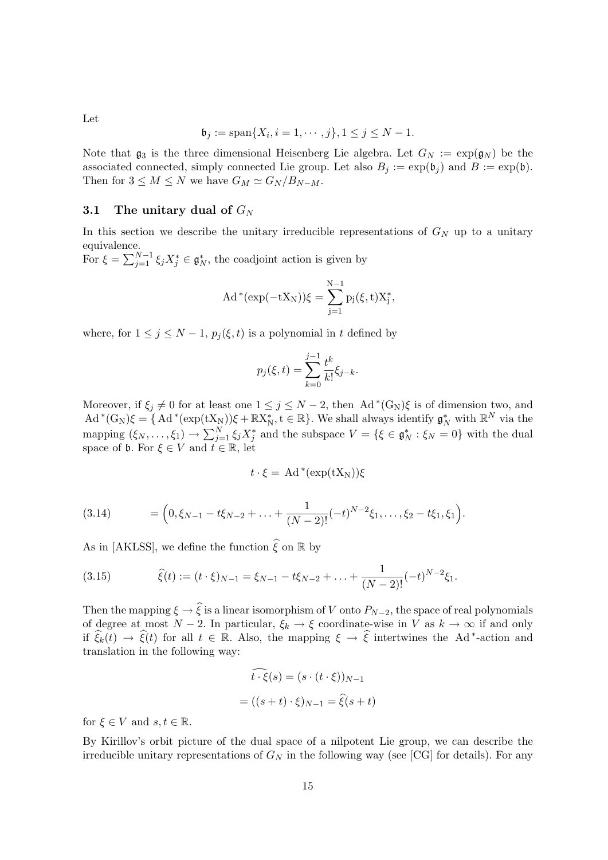Let

$$
\mathfrak{b}_j := \text{span}\{X_i, i = 1, \cdots, j\}, 1 \le j \le N - 1.
$$

Note that  $\mathfrak{g}_3$  is the three dimensional Heisenberg Lie algebra. Let  $G_N := \exp(\mathfrak{g}_N)$  be the associated connected, simply connected Lie group. Let also  $B_j := \exp(\mathfrak{b}_j)$  and  $B := \exp(\mathfrak{b})$ . Then for  $3 \leq M \leq N$  we have  $G_M \simeq G_N / B_{N-M}$ .

#### 3.1 The unitary dual of  $G_N$

In this section we describe the unitary irreducible representations of  $G_N$  up to a unitary equivalence.

For  $\xi = \sum_{j=1}^{N-1} \xi_j X_j^* \in \mathfrak{g}_N^*$ , the coadjoint action is given by

$$
Ad^*(\exp(-tX_N))\xi=\sum_{j=1}^{N-1}p_j(\xi,t)X_j^*,
$$

where, for  $1 \leq j \leq N-1$ ,  $p_i(\xi, t)$  is a polynomial in t defined by

$$
p_j(\xi, t) = \sum_{k=0}^{j-1} \frac{t^k}{k!} \xi_{j-k}.
$$

Moreover, if  $\xi_j \neq 0$  for at least one  $1 \leq j \leq N-2$ , then Ad<sup>\*</sup>(G<sub>N</sub>) $\xi$  is of dimension two, and  $\mathrm{Ad}^*(G_N)\xi = \{ \mathrm{Ad}^*(\exp(tX_N))\xi + \mathbb{R}X_N^*, t \in \mathbb{R} \}.$  We shall always identify  $\mathfrak{g}_N^*$  with  $\mathbb{R}^N$  via the mapping  $(\xi_N, \ldots, \xi_1) \to \sum_{j=1}^N \xi_j X_j^*$  and the subspace  $V = {\{\xi \in \mathfrak{g}_N^* : \xi_N = 0\}}$  with the dual space of **b**. For  $\xi \in V$  and  $t \in \mathbb{R}$ , let

$$
t\cdot\xi = \mathrm{Ad}\,^*(\exp(tX_N))\xi
$$

$$
(3.14) \qquad = \Big(0, \xi_{N-1} - t\xi_{N-2} + \ldots + \frac{1}{(N-2)!}(-t)^{N-2}\xi_1, \ldots, \xi_2 - t\xi_1, \xi_1\Big).
$$

As in [AKLSS], we define the function  $\hat{\xi}$  on R by

(3.15) 
$$
\widehat{\xi}(t) := (t \cdot \xi)_{N-1} = \xi_{N-1} - t\xi_{N-2} + \ldots + \frac{1}{(N-2)!}(-t)^{N-2}\xi_1.
$$

Then the mapping  $\xi \to \widehat{\xi}$  is a linear isomorphism of V onto  $P_{N-2}$ , the space of real polynomials of degree at most  $N-2$ . In particular,  $\xi_k \to \xi$  coordinate-wise in V as  $k \to \infty$  if and only if  $\hat{\xi}_k(t) \to \hat{\xi}(t)$  for all  $t \in \mathbb{R}$ . Also, the mapping  $\xi \to \hat{\xi}$  intertwines the Ad <sup>\*</sup>-action and translation in the following way:

$$
\dot{t} \cdot \dot{\xi}(s) = (s \cdot (t \cdot \xi))_{N-1}
$$

$$
= ((s+t) \cdot \xi)_{N-1} = \hat{\xi}(s+t)
$$

for  $\xi \in V$  and  $s, t \in \mathbb{R}$ .

By Kirillov's orbit picture of the dual space of a nilpotent Lie group, we can describe the irreducible unitary representations of  $G_N$  in the following way (see [CG] for details). For any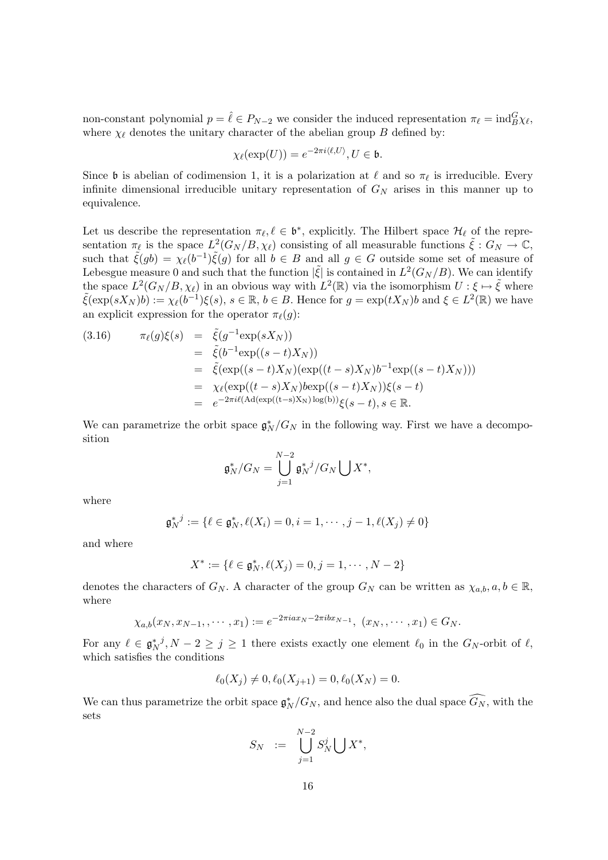non-constant polynomial  $p = \hat{\ell} \in P_{N-2}$  we consider the induced representation  $\pi_{\ell} = \text{ind}_{B}^{G} \chi_{\ell}$ , where  $\chi_{\ell}$  denotes the unitary character of the abelian group B defined by:

$$
\chi_{\ell}(\exp(U)) = e^{-2\pi i \langle \ell, U \rangle}, U \in \mathfrak{b}.
$$

Since b is abelian of codimension 1, it is a polarization at  $\ell$  and so  $\pi_{\ell}$  is irreducible. Every infinite dimensional irreducible unitary representation of  $G_N$  arises in this manner up to equivalence.

Let us describe the representation  $\pi_{\ell}, \ell \in \mathfrak{b}^*$ , explicitly. The Hilbert space  $\mathcal{H}_{\ell}$  of the representation  $\pi_{\ell}$  is the space  $L^2(G_N/B, \chi_{\ell})$  consisting of all measurable functions  $\tilde{\xi}: G_N \to \mathbb{C}$ , such that  $\tilde{\xi}(gb) = \chi_{\ell}(b^{-1})\tilde{\xi}(g)$  for all  $b \in B$  and all  $g \in G$  outside some set of measure of Lebesgue measure 0 and such that the function  $|\tilde{\xi}|$  is contained in  $L^2(G_N/B)$ . We can identify the space  $L^2(G_N/B, \chi_\ell)$  in an obvious way with  $L^2(\mathbb{R})$  via the isomorphism  $U: \xi \mapsto \tilde{\xi}$  where  $\tilde{\xi}(\exp(sX_N)b) := \chi_{\ell}(b^{-1})\xi(s), s \in \mathbb{R}, b \in B$ . Hence for  $g = \exp(tX_N)b$  and  $\xi \in L^2(\mathbb{R})$  we have an explicit expression for the operator  $\pi_{\ell}(g)$ :

(3.16) 
$$
\pi_{\ell}(g)\xi(s) = \tilde{\xi}(g^{-1}\exp(sX_N)) \n= \tilde{\xi}(b^{-1}\exp((s-t)X_N)) \n= \tilde{\xi}(\exp((s-t)X_N)(\exp((t-s)X_N)b^{-1}\exp((s-t)X_N))) \n= \chi_{\ell}(\exp((t-s)X_N)b\exp((s-t)X_N))\xi(s-t) \n= e^{-2\pi i\ell(\mathrm{Ad}(\exp((t-s)X_N)\log(b))}\xi(s-t), s \in \mathbb{R}.
$$

We can parametrize the orbit space  $\mathfrak{g}_N^*/G_N$  in the following way. First we have a decomposition

$$
\mathfrak{g}_N^*/G_N=\bigcup_{j=1}^{N-2}\mathfrak{g}_N^*/G_N\bigcup X^*,
$$

where

$$
\mathfrak{g}_N^{*,j} := \{ \ell \in \mathfrak{g}_N^*, \ell(X_i) = 0, i = 1, \cdots, j - 1, \ell(X_j) \neq 0 \}
$$

and where

$$
X^* := \{ \ell \in \mathfrak{g}_N^*, \ell(X_j) = 0, j = 1, \cdots, N - 2 \}
$$

denotes the characters of  $G_N$ . A character of the group  $G_N$  can be written as  $\chi_{a,b}, a, b \in \mathbb{R}$ , where

$$
\chi_{a,b}(x_N, x_{N-1}, \cdots, x_1) := e^{-2\pi i a x_N - 2\pi i bx_{N-1}}, \ (x_N, \cdots, x_1) \in G_N.
$$

For any  $\ell \in \mathfrak{g}_N^*$ ,  $N-2 \geq j \geq 1$  there exists exactly one element  $\ell_0$  in the  $G_N$ -orbit of  $\ell$ , which satisfies the conditions

$$
\ell_0(X_j) \neq 0, \ell_0(X_{j+1}) = 0, \ell_0(X_N) = 0.
$$

We can thus parametrize the orbit space  $\mathfrak{g}_N^*/G_N$ , and hence also the dual space  $\widehat{G_N}$ , with the sets

$$
S_N \quad := \quad \bigcup_{j=1}^{N-2} S_N^j \bigcup X^*,
$$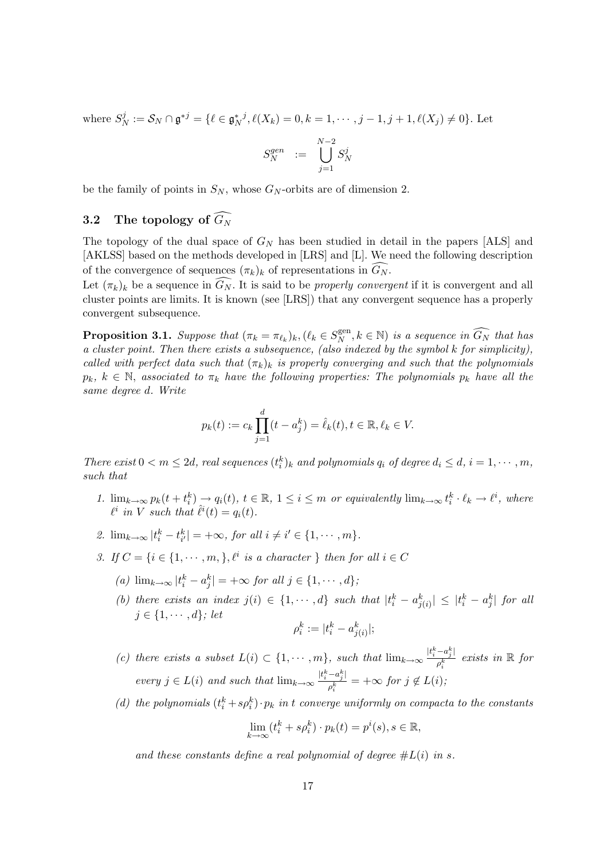where  $S^j_{\ell}$  $S_N^j := \mathcal{S}_N \cap \mathfrak{g}^{*j} = \{ \ell \in \mathfrak{g}_N^{*j}, \ell(X_k) = 0, k = 1, \cdots, j - 1, j + 1, \ell(X_j) \neq 0 \}.$  Let

$$
S_N^{gen} \quad := \quad \bigcup_{j=1}^{N-2} S_N^j
$$

be the family of points in  $S_N$ , whose  $G_N$ -orbits are of dimension 2.

## 3.2 The topology of  $\widehat{G_N}$

The topology of the dual space of  $G_N$  has been studied in detail in the papers [ALS] and [AKLSS] based on the methods developed in [LRS] and [L]. We need the following description of the convergence of sequences  $(\pi_k)_k$  of representations in  $G_N$ .

Let  $(\pi_k)_k$  be a sequence in  $\widehat{G_N}$ . It is said to be *properly convergent* if it is convergent and all cluster points are limits. It is known (see [LRS]) that any convergent sequence has a properly convergent subsequence.

**Proposition 3.1.** Suppose that  $(\pi_k = \pi_{\ell_k})_k, (\ell_k \in S_N^{\text{gen}})$  $X_N^{\text{gen}}, k \in \mathbb{N}$ ) is a sequence in  $\widehat{G_N}$  that has a cluster point. Then there exists a subsequence, (also indexed by the symbol k for simplicity), called with perfect data such that  $(\pi_k)_k$  is properly converging and such that the polynomials  $p_k, k \in \mathbb{N}$ , associated to  $\pi_k$  have the following properties: The polynomials  $p_k$  have all the same degree d. Write

$$
p_k(t) := c_k \prod_{j=1}^d (t - a_j^k) = \hat{\ell}_k(t), t \in \mathbb{R}, \ell_k \in V.
$$

There exist  $0 < m \le 2d$ , real sequences  $(t_i^k)_k$  and polynomials  $q_i$  of degree  $d_i \le d$ ,  $i = 1, \dots, m$ , such that

- 1.  $\lim_{k\to\infty} p_k(t+t_i^k) \to q_i(t), t \in \mathbb{R}, 1 \leq i \leq m$  or equivalently  $\lim_{k\to\infty} t_i^k \cdot \ell_k \to \ell^i$ , where  $\ell^i$  in V such that  $\hat{\ell}^i(t) = q_i(t)$ .
- 2.  $\lim_{k\to\infty} |t_i^k t_{i'}^k| = +\infty$ , for all  $i \neq i' \in \{1, \cdots, m\}$ .
- 3. If  $C = \{i \in \{1, \dots, m\}, \ell^i \text{ is a character }\}$  then for all  $i \in C$ 
	- (a)  $\lim_{k \to \infty} |t_i^k a_j^k| = +\infty$  for all  $j \in \{1, \cdots, d\}$ ;
	- (b) there exists an index  $j(i) \in \{1, \dots, d\}$  such that  $|t_i^k a_{j(i)}^k| \leq |t_i^k a_j^k|$  for all  $j \in \{1, \cdots, d\}$ ; let

$$
\rho_i^k := |t_i^k - a_{j(i)}^k|;
$$

(c) there exists a subset  $L(i) \subset \{1, \cdots, m\}$ , such that  $\lim_{k \to \infty} \frac{|t_i^k - a_j^k|}{\delta}$  $\frac{-a_j^n}{\rho_i^k}$  exists in  $\mathbb R$  for every  $j \in L(i)$  and such that  $\lim_{k \to \infty} \frac{|t_i^k - a_j^k|}{a^k}$  $\frac{a_{j\perp}}{\rho_i^k}$  =  $+\infty$  for  $j \notin L(i)$ ;

(d) the polynomials  $(t_i^k + s \rho_i^k) \cdot p_k$  in t converge uniformly on compacta to the constants

$$
\lim_{k \to \infty} (t_i^k + s\rho_i^k) \cdot p_k(t) = p^i(s), s \in \mathbb{R},
$$

and these constants define a real polynomial of degree  $\#L(i)$  in s.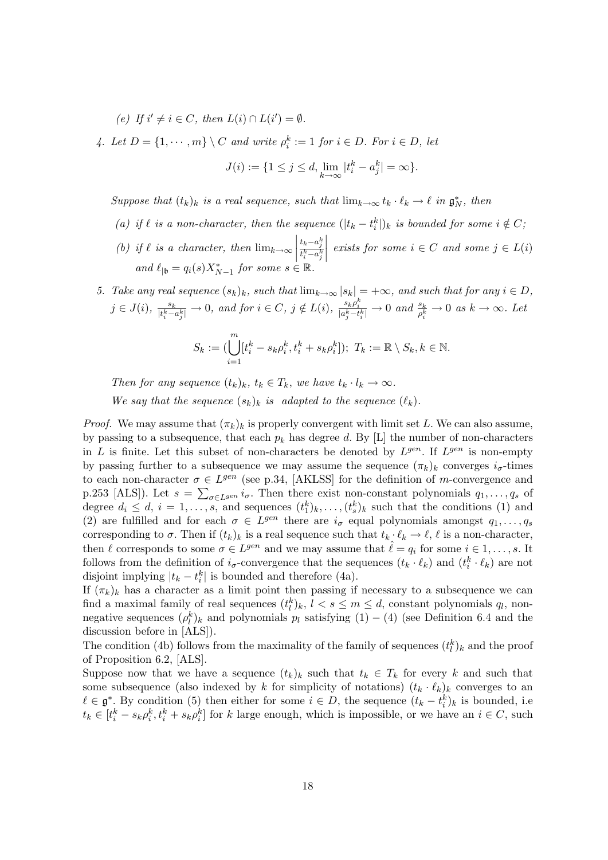(e) If  $i' \neq i \in C$ , then  $L(i) \cap L(i') = \emptyset$ .

4. Let  $D = \{1, \dots, m\} \setminus C$  and write  $\rho_i^k := 1$  for  $i \in D$ . For  $i \in D$ , let

$$
J(i) := \{ 1 \le j \le d, \lim_{k \to \infty} |t_i^k - a_j^k| = \infty \}.
$$

Suppose that  $(t_k)_k$  is a real sequence, such that  $\lim_{k\to\infty} t_k \cdot \ell_k \to \ell$  in  $\mathfrak{g}_N^*$ , then

- (a) if  $\ell$  is a non-character, then the sequence  $(|t_k t_i^k|)$  is bounded for some  $i \notin C$ ;
- (b) if  $\ell$  is a character, then  $\lim_{k\to\infty}$  $\frac{t_k-a_j^k}{t_i^k-a_j^k}$  $\begin{array}{c} \begin{array}{c} \begin{array}{c} \end{array} \\ \begin{array}{c} \end{array} \end{array} \end{array}$ exists for some  $i \in C$  and some  $j \in L(i)$ and  $\ell_{|\mathfrak{b}} = q_i(s) X^*_{N-1}$  for some  $s \in \mathbb{R}$ .

5. Take any real sequence  $(s_k)_k$ , such that  $\lim_{k\to\infty} |s_k| = +\infty$ , and such that for any  $i \in D$ ,  $j \in J(i)$ ,  $\frac{s_k}{\mu k}$  $\frac{s_k}{|t_i^k-a_j^k|} \to 0$ , and for  $i \in C$ ,  $j \notin L(i)$ ,  $\frac{s_k \rho_i^k}{|a_j^k - t_i^k|} \to 0$  and  $\frac{s_k}{\rho_i^k} \to 0$  as  $k \to \infty$ . Let

$$
S_k := (\bigcup_{i=1}^m [t_i^k - s_k \rho_i^k, t_i^k + s_k \rho_i^k]); \ T_k := \mathbb{R} \setminus S_k, k \in \mathbb{N}.
$$

Then for any sequence  $(t_k)_k$ ,  $t_k \in T_k$ , we have  $t_k \cdot l_k \to \infty$ .

We say that the sequence  $(s_k)_k$  is adapted to the sequence  $(\ell_k)$ .

*Proof.* We may assume that  $(\pi_k)_k$  is properly convergent with limit set L. We can also assume, by passing to a subsequence, that each  $p_k$  has degree d. By [L] the number of non-characters in L is finite. Let this subset of non-characters be denoted by  $L^{gen}$ . If  $L^{gen}$  is non-empty by passing further to a subsequence we may assume the sequence  $(\pi_k)_k$  converges  $i_{\sigma}$ -times to each non-character  $\sigma \in L^{gen}$  (see p.34, [AKLSS] for the definition of m-convergence and p.253 [ALS]). Let  $s = \sum_{\sigma \in L^{gen}} i_{\sigma}$ . Then there exist non-constant polynomials  $q_1, \ldots, q_s$  of degree  $d_i \leq d, i = 1, \ldots, s$ , and sequences  $(t_1^k)_{k}, \ldots, (t_s^k)_{k}$  such that the conditions (1) and (2) are fulfilled and for each  $\sigma \in L^{gen}$  there are  $i_{\sigma}$  equal polynomials amongst  $q_1, \ldots, q_s$ corresponding to  $\sigma$ . Then if  $(t_k)_k$  is a real sequence such that  $t_k \cdot \ell_k \to \ell$ ,  $\ell$  is a non-character, then  $\ell$  corresponds to some  $\sigma \in L^{gen}$  and we may assume that  $\hat{\ell} = q_i$  for some  $i \in 1, \ldots, s$ . It follows from the definition of  $i_{\sigma}$ -convergence that the sequences  $(t_k \cdot \ell_k)$  and  $(t_i^k \cdot \ell_k)$  are not disjoint implying  $|t_k - t_i^k|$  is bounded and therefore (4a).

If  $(\pi_k)_k$  has a character as a limit point then passing if necessary to a subsequence we can find a maximal family of real sequences  $(t_l^k)_k$ ,  $l < s \le m \le d$ , constant polynomials  $q_l$ , nonnegative sequences  $(\rho_l^k)_k$  and polynomials  $p_l$  satisfying  $(1) - (4)$  (see Definition 6.4 and the discussion before in [ALS]).

The condition (4b) follows from the maximality of the family of sequences  $(t_l^k)_k$  and the proof of Proposition 6.2, [ALS].

Suppose now that we have a sequence  $(t_k)_k$  such that  $t_k \in T_k$  for every k and such that some subsequence (also indexed by k for simplicity of notations)  $(t_k \cdot \ell_k)_k$  converges to an  $\ell \in \mathfrak{g}^*$ . By condition (5) then either for some  $i \in D$ , the sequence  $(t_k - t_i^k)_k$  is bounded, i.e  $t_k \in [t_i^k - s_k \rho_i^k, t_i^k + s_k \rho_i^k]$  for k large enough, which is impossible, or we have an  $i \in C$ , such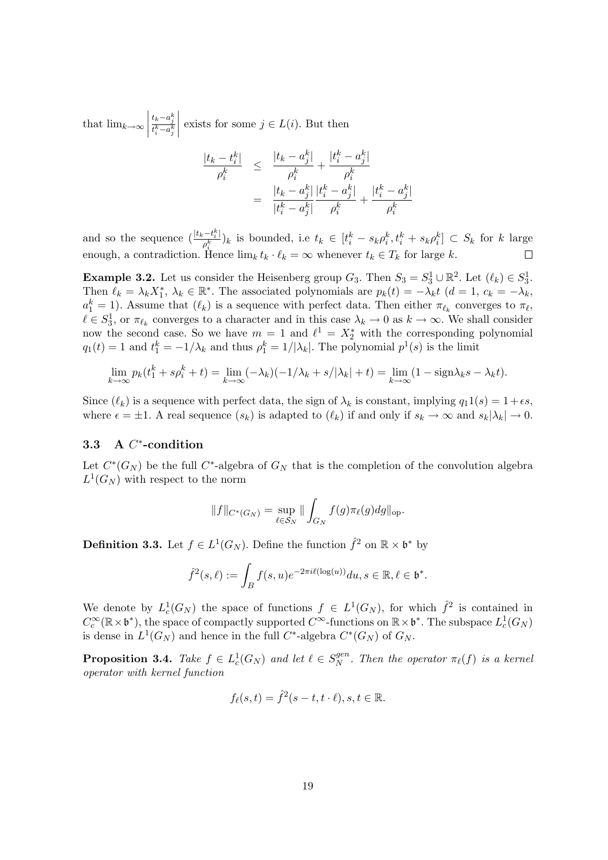that  $\lim_{k\to\infty}$  $\frac{t_k-a_j^k}{t_i^k-a_j^k}$  $\begin{array}{c} \begin{array}{c} \begin{array}{c} \end{array} \\ \begin{array}{c} \end{array} \end{array} \end{array}$ exists for some  $j \in L(i)$ . But then

$$
\frac{|t_k - t_i^k|}{\rho_i^k} \leq \frac{|t_k - a_j^k|}{\rho_i^k} + \frac{|t_i^k - a_j^k|}{\rho_i^k}
$$

$$
= \frac{|t_k - a_j^k|}{|t_i^k - a_j^k|} \frac{|t_i^k - a_j^k|}{\rho_i^k} + \frac{|t_i^k - a_j^k|}{\rho_i^k}
$$

and so the sequence  $\left(\frac{|t_k-t_i^k|}{\delta}\right)$  $(\bar{p}_k^{t-1}\bar{t}_k^k)_k$  is bounded, i.e  $t_k \in [t_i^k - s_k \rho_i^k, t_i^k + s_k \rho_i^k] \subset S_k$  for k large enough, a contradiction. Hence  $\lim_k t_k \cdot \ell_k = \infty$  whenever  $t_k \in T_k$  for large k.  $\Box$ 

**Example 3.2.** Let us consider the Heisenberg group  $G_3$ . Then  $S_3 = S_3^1 \cup \mathbb{R}^2$ . Let  $(\ell_k) \in S_3^1$ . Then  $\ell_k = \lambda_k X_1^*, \lambda_k \in \mathbb{R}^*$ . The associated polynomials are  $p_k(t) = -\lambda_k t$   $(d = 1, c_k = -\lambda_k)$ .  $a_1^k = 1$ ). Assume that  $(\ell_k)$  is a sequence with perfect data. Then either  $\pi_{\ell_k}$  converges to  $\pi_{\ell_k}$  $\ell \in S_3^1$ , or  $\pi_{\ell_k}$  converges to a character and in this case  $\lambda_k \to 0$  as  $k \to \infty$ . We shall consider now the second case. So we have  $m = 1$  and  $\ell^1 = X_2^*$  with the corresponding polynomial  $q_1(t) = 1$  and  $t_1^k = -1/\lambda_k$  and thus  $\rho_1^k = 1/|\lambda_k|$ . The polynomial  $p^1(s)$  is the limit

$$
\lim_{k \to \infty} p_k(t_1^k + s\rho_i^k + t) = \lim_{k \to \infty} (-\lambda_k)(-1/\lambda_k + s/|\lambda_k| + t) = \lim_{k \to \infty} (1 - \text{sign}\lambda_k s - \lambda_k t).
$$

Since  $(\ell_k)$  is a sequence with perfect data, the sign of  $\lambda_k$  is constant, implying  $q_1 1(s) = 1+\epsilon s$ , where  $\epsilon = \pm 1$ . A real sequence  $(s_k)$  is adapted to  $(\ell_k)$  if and only if  $s_k \to \infty$  and  $s_k|\lambda_k| \to 0$ .

## 3.3 A C<sup>\*</sup>-condition

Let  $C^*(G_N)$  be the full  $C^*$ -algebra of  $G_N$  that is the completion of the convolution algebra  $L^1(G_N)$  with respect to the norm

$$
||f||_{C^*(G_N)} = \sup_{\ell \in S_N} || \int_{G_N} f(g) \pi_{\ell}(g) dg ||_{\text{op}}.
$$

**Definition 3.3.** Let  $f \in L^1(G_N)$ . Define the function  $\hat{f}^2$  on  $\mathbb{R} \times \mathfrak{b}^*$  by

$$
\hat{f}^2(s,\ell) := \int_B f(s,u)e^{-2\pi i\ell(\log(u))} du, s \in \mathbb{R}, \ell \in \mathfrak{b}^*.
$$

We denote by  $L_c^1(G_N)$  the space of functions  $f \in L^1(G_N)$ , for which  $\hat{f}^2$  is contained in  $C_c^{\infty}(\mathbb{R} \times \mathfrak{b}^*)$ , the space of compactly supported  $C^{\infty}$ -functions on  $\mathbb{R} \times \mathfrak{b}^*$ . The subspace  $L_c^1(G_N)$ is dense in  $L^1(G_N)$  and hence in the full C<sup>\*</sup>-algebra  $C^*(G_N)$  of  $G_N$ .

**Proposition 3.4.** Take  $f \in L_c^1(G_N)$  and let  $\ell \in S_N^{gen}$  $N^{\text{gen}}$ . Then the operator  $\pi_{\ell}(f)$  is a kernel operator with kernel function

$$
f_{\ell}(s,t) = \hat{f}^{2}(s-t,t \cdot \ell), s, t \in \mathbb{R}.
$$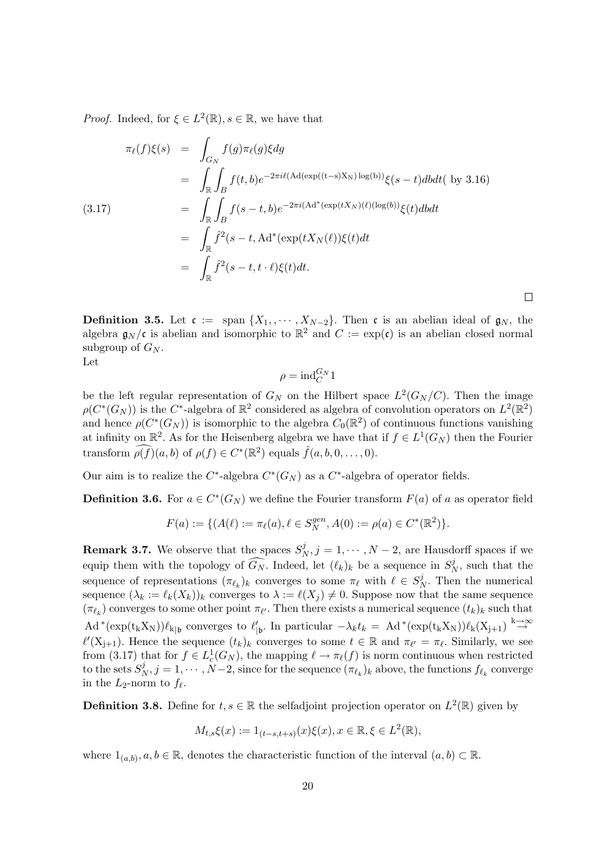*Proof.* Indeed, for  $\xi \in L^2(\mathbb{R})$ ,  $s \in \mathbb{R}$ , we have that

$$
\pi_{\ell}(f)\xi(s) = \int_{G_N} f(g)\pi_{\ell}(g)\xi dg
$$
  
\n
$$
= \int_{\mathbb{R}} \int_B f(t,b)e^{-2\pi i\ell(\mathrm{Ad}(\exp((t-s)X_N)\log(b))}\xi(s-t)dbdt(\text{ by } 3.16)
$$
  
\n
$$
= \int_{\mathbb{R}} \int_B f(s-t,b)e^{-2\pi i(\mathrm{Ad}^*(\exp(tX_N)(\ell)(\log(b))}\xi(t)dbdt
$$
  
\n
$$
= \int_{\mathbb{R}} \hat{f}^2(s-t,\mathrm{Ad}^*(\exp(tX_N(\ell))\xi(t)dt)
$$
  
\n
$$
= \int_{\mathbb{R}} \hat{f}^2(s-t,t\cdot\ell)\xi(t)dt.
$$

**Definition 3.5.** Let  $\mathfrak{c} := \text{span} \{X_1, \dots, X_{N-2}\}.$  Then  $\mathfrak{c}$  is an abelian ideal of  $\mathfrak{g}_N$ , the algebra  $\mathfrak{g}_N/\mathfrak{c}$  is abelian and isomorphic to  $\mathbb{R}^2$  and  $C := \exp(\mathfrak{c})$  is an abelian closed normal subgroup of  $G_N$ .

 $\Box$ 

Let

$$
\rho = \mathrm{ind}_{C}^{G_N} 1
$$

be the left regular representation of  $G_N$  on the Hilbert space  $L^2(G_N/C)$ . Then the image  $\rho(C^*(G_N))$  is the  $C^*$ -algebra of  $\mathbb{R}^2$  considered as algebra of convolution operators on  $L^2(\mathbb{R}^2)$ and hence  $\rho(C^*(G_N))$  is isomorphic to the algebra  $C_0(\mathbb{R}^2)$  of continuous functions vanishing at infinity on  $\mathbb{R}^2$ . As for the Heisenberg algebra we have that if  $f \in L^1(G_N)$  then the Fourier transform  $\widehat{\rho(f)}(a, b)$  of  $\rho(f) \in C^*(\mathbb{R}^2)$  equals  $\widehat{f}(a, b, 0, \ldots, 0)$ .

Our aim is to realize the  $C^*$ -algebra  $C^*(G_N)$  as a  $C^*$ -algebra of operator fields.

**Definition 3.6.** For  $a \in C^*(G_N)$  we define the Fourier transform  $F(a)$  of a as operator field

$$
F(a) := \{ (A(\ell) := \pi_{\ell}(a), \ell \in S_N^{gen}, A(0) := \rho(a) \in C^*(\mathbb{R}^2) \}.
$$

**Remark 3.7.** We observe that the spaces  $S^j_{\ell}$  $N, j = 1, \dots, N - 2$ , are Hausdorff spaces if we equip them with the topology of  $\widehat{G_N}$ . Indeed, let  $(\ell_k)_k$  be a sequence in  $S^j$  $N \choose N$ , such that the sequence of representations  $(\pi_{\ell_k})_k$  converges to some  $\pi_{\ell}$  with  $\ell \in S^j_{\ell}$  $N<sub>N</sub>$ . Then the numerical sequence  $(\lambda_k := \ell_k(X_k))_k$  converges to  $\lambda := \ell(X_i) \neq 0$ . Suppose now that the same sequence  $(\pi_{\ell_k})$  converges to some other point  $\pi_{\ell'}$ . Then there exists a numerical sequence  $(t_k)_k$  such that  $\text{Ad}^*(\exp(\mathbf{t}_k X_N))\ell_{k|b}$  converges to  $\ell'_{|b}$ . In particular  $-\lambda_k t_k = \text{Ad}^*(\exp(\mathbf{t}_k X_N))\ell_k(X_{j+1}) \stackrel{k \to \infty}{\to}$  $\ell'(X_{j+1})$ . Hence the sequence  $(t_k)_k$  converges to some  $t \in \mathbb{R}$  and  $\pi_{\ell'} = \pi_{\ell}$ . Similarly, we see from (3.17) that for  $f \in L_c^1(G_N)$ , the mapping  $\ell \to \pi_\ell(f)$  is norm continuous when restricted to the sets  $S^j_{\lambda}$  $N, j = 1, \cdots, N-2$ , since for the sequence  $(\pi_{\ell_k})_k$  above, the functions  $f_{\ell_k}$  converge in the  $L_2$ -norm to  $f_\ell$ .

**Definition 3.8.** Define for  $t, s \in \mathbb{R}$  the selfadjoint projection operator on  $L^2(\mathbb{R})$  given by

$$
M_{t,s}\xi(x) := 1_{(t-s,t+s)}(x)\xi(x), x \in \mathbb{R}, \xi \in L^2(\mathbb{R}),
$$

where  $1_{(a,b)}, a, b \in \mathbb{R}$ , denotes the characteristic function of the interval  $(a, b) \subset \mathbb{R}$ .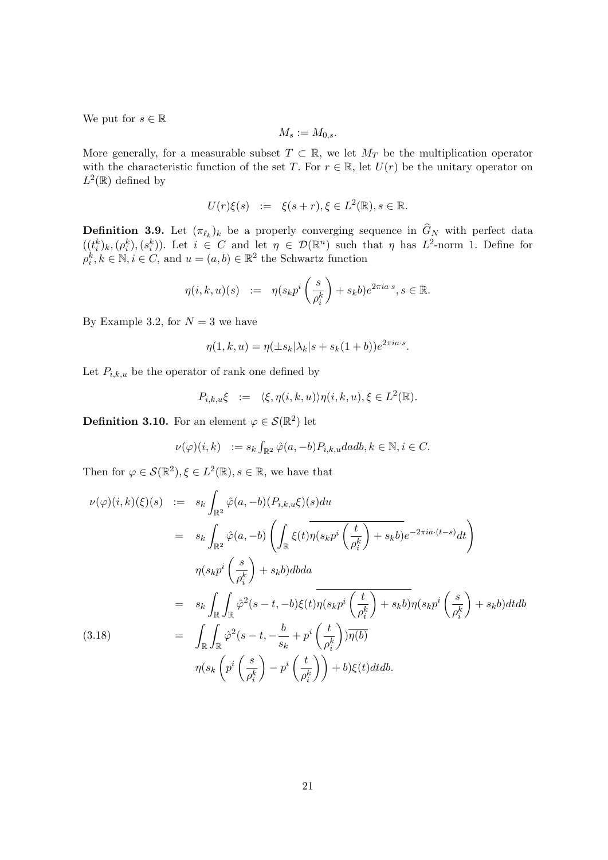We put for  $s \in \mathbb{R}$ 

$$
M_s := M_{0,s}.
$$

More generally, for a measurable subset  $T \subset \mathbb{R}$ , we let  $M_T$  be the multiplication operator with the characteristic function of the set T. For  $r \in \mathbb{R}$ , let  $U(r)$  be the unitary operator on  $L^2(\mathbb{R})$  defined by

$$
U(r)\xi(s) \quad := \quad \xi(s+r), \xi \in L^2(\mathbb{R}), s \in \mathbb{R}.
$$

**Definition 3.9.** Let  $(\pi_{\ell_k})_k$  be a properly converging sequence in  $G_N$  with perfect data  $((t_i^k)_k,(\rho_i^k),(s_i^k))$ . Let  $i \in C$  and let  $\eta \in \mathcal{D}(\mathbb{R}^n)$  such that  $\eta$  has  $L^2$ -norm 1. Define for  $\rho_i^k, k \in \mathbb{N}, i \in C$ , and  $u = (a, b) \in \mathbb{R}^2$  the Schwartz function

$$
\eta(i,k,u)(s) \quad := \quad \eta(s_k p^i \left(\frac{s}{\rho_i^k}\right) + s_k b) e^{2\pi i a \cdot s}, s \in \mathbb{R}.
$$

By Example 3.2, for  $N = 3$  we have

$$
\eta(1,k,u) = \eta(\pm s_k|\lambda_k|s + s_k(1+b))e^{2\pi i a \cdot s}.
$$

Let  $P_{i,k,u}$  be the operator of rank one defined by

$$
P_{i,k,u}\xi \ := \ \langle \xi, \eta(i,k,u) \rangle \eta(i,k,u), \xi \in L^2(\mathbb{R}).
$$

**Definition 3.10.** For an element  $\varphi \in \mathcal{S}(\mathbb{R}^2)$  let

$$
\nu(\varphi)(i,k) \quad := s_k \int_{\mathbb{R}^2} \hat{\varphi}(a,-b) P_{i,k,u} da db, k \in \mathbb{N}, i \in C.
$$

Then for  $\varphi \in \mathcal{S}(\mathbb{R}^2), \xi \in L^2(\mathbb{R}), s \in \mathbb{R}$ , we have that

$$
\nu(\varphi)(i,k)(\xi)(s) := s_k \int_{\mathbb{R}^2} \hat{\varphi}(a,-b) (P_{i,k,u}\xi)(s) du
$$
  
\n
$$
= s_k \int_{\mathbb{R}^2} \hat{\varphi}(a,-b) \left( \int_{\mathbb{R}} \xi(t) \eta(s_k p^i \left( \frac{t}{\rho_i^k} \right) + s_k b) e^{-2\pi i a \cdot (t-s)} dt \right)
$$
  
\n
$$
\eta(s_k p^i \left( \frac{s}{\rho_i^k} \right) + s_k b) db da
$$
  
\n
$$
= s_k \int_{\mathbb{R}} \int_{\mathbb{R}} \hat{\varphi}^2(s-t,-b) \xi(t) \overline{\eta(s_k p^i \left( \frac{t}{\rho_i^k} \right) + s_k b)} \eta(s_k p^i \left( \frac{s}{\rho_i^k} \right) + s_k b) dt db
$$
  
\n(3.18)  
\n
$$
= \int_{\mathbb{R}} \int_{\mathbb{R}} \hat{\varphi}^2(s-t, -\frac{b}{s_k} + p^i \left( \frac{t}{\rho_i^k} \right) ) \overline{\eta(b)}
$$
  
\n
$$
\eta(s_k \left( p^i \left( \frac{s}{\rho_i^k} \right) - p^i \left( \frac{t}{\rho_i^k} \right) \right) + b) \xi(t) dt db.
$$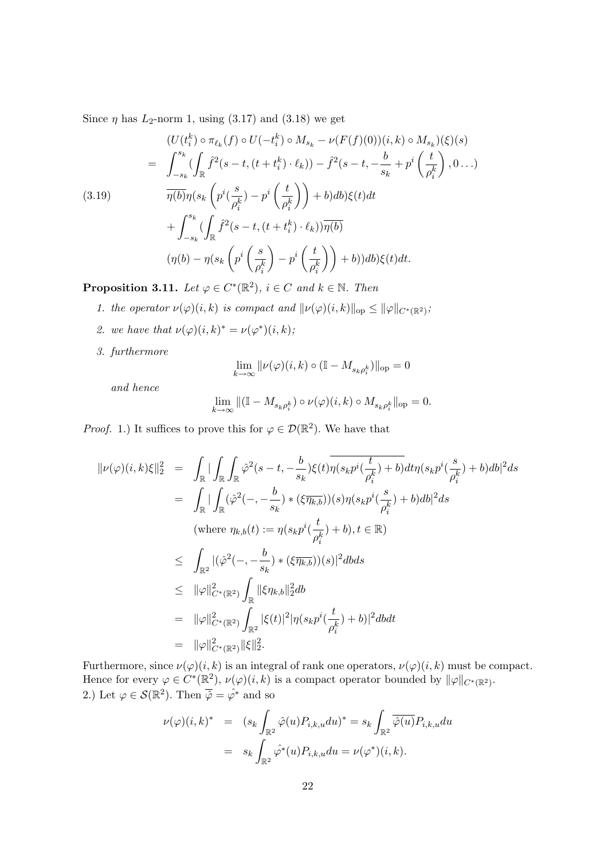Since  $\eta$  has  $L_2$ -norm 1, using (3.17) and (3.18) we get

$$
(U(t_i^k) \circ \pi_{\ell_k}(f) \circ U(-t_i^k) \circ M_{s_k} - \nu(F(f)(0))(i,k) \circ M_{s_k})(\xi)(s)
$$
  
\n
$$
= \int_{-s_k}^{s_k} (\int_{\mathbb{R}} \hat{f}^2(s-t, (t+t_i^k) \cdot \ell_k)) - \hat{f}^2(s-t, -\frac{b}{s_k} + p^i\left(\frac{t}{\rho_i^k}\right), 0...)
$$
  
\n(3.19) 
$$
\overline{\eta(b)}\eta(s_k\left(p^i(\frac{s}{\rho_i^k}) - p^i\left(\frac{t}{\rho_i^k}\right)\right) + b)db\xi(t)dt
$$
  
\n
$$
+ \int_{-s_k}^{s_k} (\int_{\mathbb{R}} \hat{f}^2(s-t, (t+t_i^k) \cdot \ell_k))\overline{\eta(b)}
$$
  
\n
$$
(\eta(b) - \eta(s_k\left(p^i\left(\frac{s}{\rho_i^k}\right) - p^i\left(\frac{t}{\rho_i^k}\right)\right) + b))db\xi(t)dt.
$$

**Proposition 3.11.** Let  $\varphi \in C^*(\mathbb{R}^2)$ ,  $i \in C$  and  $k \in \mathbb{N}$ . Then

- 1. the operator  $\nu(\varphi)(i,k)$  is compact and  $\|\nu(\varphi)(i,k)\|_{\text{op}} \leq \|\varphi\|_{C^*(\mathbb{R}^2)}$ ;
- 2. we have that  $\nu(\varphi)(i,k)^* = \nu(\varphi^*)(i,k);$
- 3. furthermore

$$
\lim_{k\to\infty}\|\nu(\varphi)(i,k)\circ(\mathbb{I}-M_{s_k\rho_i^k})\|_{\mathrm{op}}=0
$$

and hence

$$
\lim_{k\to\infty}\|(\mathbb I-M_{s_k\rho_i^k})\circ\nu(\varphi)(i,k)\circ M_{s_k\rho_i^k}\|_{\mathrm{op}}=0.
$$

*Proof.* 1.) It suffices to prove this for  $\varphi \in \mathcal{D}(\mathbb{R}^2)$ . We have that

$$
\begin{array}{rcl} \|\nu(\varphi)(i,k)\xi\|_2^2 &=& \displaystyle \int_{\mathbb{R}}|\int_{\mathbb{R}}\int_{\mathbb{R}}\hat{\varphi}^2(s-t,-\frac{b}{s_k})\xi(t)\overline{\eta(s_kp^i(\frac{t}{\rho_i^k})+b)}dt\eta(s_kp^i(\frac{s}{\rho_i^k})+b)db|^2ds\\ \\ &=& \displaystyle \int_{\mathbb{R}}|\int_{\mathbb{R}}(\hat{\varphi}^2(-,-\frac{b}{s_k})*(\xi\overline{\eta_{k,b}}))(s)\eta(s_kp^i(\frac{s}{\rho_i^k})+b)db|^2ds\\ \text{(where } \eta_{k,b}(t):=\eta(s_kp^i(\frac{t}{\rho_i^k})+b), t\in\mathbb{R})\\ \\ &\leqslant& \displaystyle \int_{\mathbb{R}^2}|(\hat{\varphi}^2(-,-\frac{b}{s_k})*(\xi\overline{\eta_{k,b}}))(s)|^2dbds\\ \\ &\leqslant& \|\varphi\|_{C^*(\mathbb{R}^2)}^2\int_{\mathbb{R}}\|\xi\eta_{k,b}\|_2^2db\\ \\ &=& \|\varphi\|_{C^*(\mathbb{R}^2)}^2\int_{\mathbb{R}^2}|\xi(t)|^2|\eta(s_kp^i(\frac{t}{\rho_i^k})+b)|^2dbdt\\ \\ &=& \|\varphi\|_{C^*(\mathbb{R}^2)}^2\|\xi\|_2^2.\end{array}
$$

Furthermore, since  $\nu(\varphi)(i, k)$  is an integral of rank one operators,  $\nu(\varphi)(i, k)$  must be compact. Hence for every  $\varphi \in C^*(\mathbb{R}^2)$ ,  $\nu(\varphi)(i,k)$  is a compact operator bounded by  $\|\varphi\|_{C^*(\mathbb{R}^2)}$ . 2.) Let  $\varphi \in \mathcal{S}(\mathbb{R}^2)$ . Then  $\overline{\hat{\varphi}} = \hat{\varphi^*}$  and so

$$
\nu(\varphi)(i,k)^* = (s_k \int_{\mathbb{R}^2} \hat{\varphi}(u) P_{i,k,u} du)^* = s_k \int_{\mathbb{R}^2} \overline{\hat{\varphi}(u)} P_{i,k,u} du
$$

$$
= s_k \int_{\mathbb{R}^2} \hat{\varphi}^*(u) P_{i,k,u} du = \nu(\varphi^*)(i,k).
$$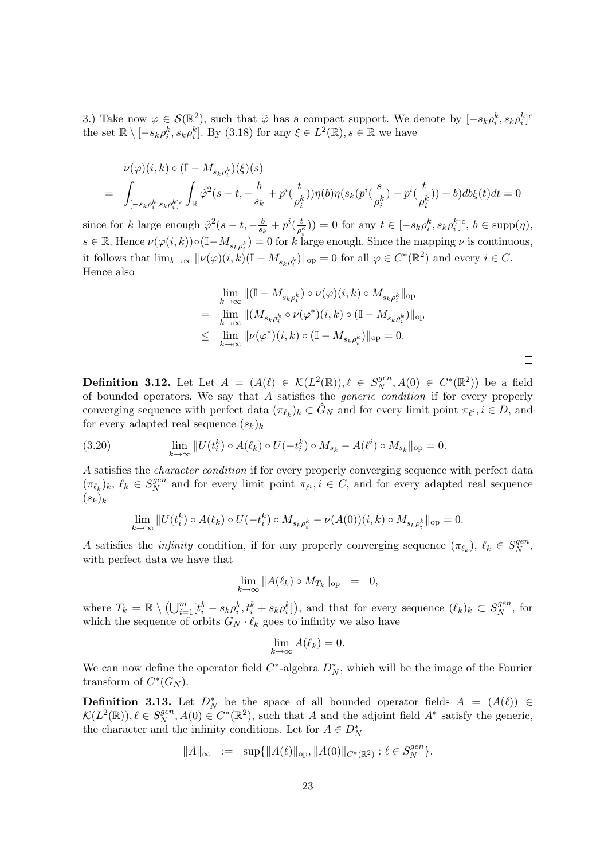3.) Take now  $\varphi \in \mathcal{S}(\mathbb{R}^2)$ , such that  $\hat{\varphi}$  has a compact support. We denote by  $[-s_k \rho_i^k, s_k \rho_i^k]^c$ the set  $\mathbb{R} \setminus [-s_k \rho_i^k, s_k \rho_i^k]$ . By (3.18) for any  $\xi \in L^2(\mathbb{R}), s \in \mathbb{R}$  we have

$$
\begin{array}{lll} & \nu(\varphi)(i,k)\circ(\mathbb{I}-M_{s_k\rho_i^k})(\xi)(s)\\ \\ = & \displaystyle \int_{[-s_k\rho_i^k,s_k\rho_i^k]^c}\int_{\mathbb{R}} \hat{\varphi}^2(s-t,-\frac{b}{s_k}+p^i(\frac{t}{\rho_i^k}))\overline{\eta(b)}\eta(s_k(p^i(\frac{s}{\rho_i^k})-p^i(\frac{t}{\rho_i^k}))+b)db\xi(t)dt=0 \end{array}
$$

since for k large enough  $\hat{\varphi}^2(s-t, -\frac{b}{s})$  $\frac{b}{s_k}+p^i(\frac{t}{\rho_s^i})$  $(\frac{t}{\rho_i^k})$  = 0 for any  $t \in [-s_k \rho_i^k, s_k \rho_i^k]^c$ ,  $b \in \text{supp}(\eta)$ ,  $s \in \mathbb{R}$ . Hence  $\nu(\varphi(i,k)) \circ (\mathbb{I} - M_{s_k \rho_i^k}) = 0$  for k large enough. Since the mapping  $\nu$  is continuous, it follows that  $\lim_{k\to\infty} ||\nu(\varphi)(i,k) (\mathbb{I} - M_{s_k \rho_i^k})||_{\text{op}} = 0$  for all  $\varphi \in C^*(\mathbb{R}^2)$  and every  $i \in C$ . Hence also

$$
\lim_{k \to \infty} \| (\mathbb{I} - M_{s_k \rho_i^k}) \circ \nu(\varphi)(i, k) \circ M_{s_k \rho_i^k} \|_{\text{op}}
$$
\n
$$
= \lim_{k \to \infty} \| (M_{s_k \rho_i^k} \circ \nu(\varphi^*)(i, k) \circ (\mathbb{I} - M_{s_k \rho_i^k}) \|_{\text{op}}
$$
\n
$$
\leq \lim_{k \to \infty} \| \nu(\varphi^*)(i, k) \circ (\mathbb{I} - M_{s_k \rho_i^k}) \|_{\text{op}} = 0.
$$

 $\Box$ 

**Definition 3.12.** Let Let  $A = (A(\ell) \in \mathcal{K}(L^2(\mathbb{R})), \ell \in S_N^{gen}$  $S_N^{gen}, A(0) \in C^*(\mathbb{R}^2)$  be a field of bounded operators. We say that  $A$  satisfies the *generic condition* if for every properly converging sequence with perfect data  $(\pi_{\ell_k})_k \subset \hat{G}_N$  and for every limit point  $\pi_{\ell^i}, i \in D$ , and for every adapted real sequence  $(s_k)_k$ 

(3.20) 
$$
\lim_{k \to \infty} ||U(t_i^k) \circ A(\ell_k) \circ U(-t_i^k) \circ M_{s_k} - A(\ell^i) \circ M_{s_k}||_{\text{op}} = 0.
$$

A satisfies the character condition if for every properly converging sequence with perfect data  $(\pi_{\ell_k})_k, \ \ell_k \in S_N^{gen}$  $N \nvert N$  and for every limit point  $\pi_{\ell^i}, i \in C$ , and for every adapted real sequence  $(s_k)_k$ 

$$
\lim_{k \to \infty} ||U(t_i^k) \circ A(\ell_k) \circ U(-t_i^k) \circ M_{s_k \rho_i^k} - \nu(A(0))(i,k) \circ M_{s_k \rho_i^k}||_{\text{op}} = 0.
$$

A satisfies the *infinity* condition, if for any properly converging sequence  $(\pi_{\ell_k})$ ,  $\ell_k \in S_N^{gen}$  $_N^{gen},$ with perfect data we have that

$$
\lim_{k \to \infty} \|A(\ell_k) \circ M_{T_k}\|_{\text{op}} = 0,
$$

where  $T_k = \mathbb{R} \setminus \left( \bigcup_{i=1}^m [t_i^k - s_k \rho_i^k, t_i^k + s_k \rho_i^k] \right)$ , and that for every sequence  $(\ell_k)_k \subset S_N^{gen}$  $N^{\eta en}, \text{ for }$ which the sequence of orbits  $G_N \cdot \ell_k$  goes to infinity we also have

$$
\lim_{k \to \infty} A(\ell_k) = 0.
$$

We can now define the operator field  $C^*$ -algebra  $D_N^*$ , which will be the image of the Fourier transform of  $C^*(G_N)$ .

**Definition 3.13.** Let  $D_N^*$  be the space of all bounded operator fields  $A = (A(\ell)) \in$  $\mathcal{K}(L^2(\mathbb{R})), \ell \in S_N^{gen}$  $N^{gen}$ ,  $A(0) \in C^*(\mathbb{R}^2)$ , such that A and the adjoint field  $A^*$  satisfy the generic, the character and the infinity conditions. Let for  $A\in D_{N}^{\ast}$ 

$$
||A||_{\infty} := \sup{||A(\ell)||_{\text{op}}, ||A(0)||_{C^*(\mathbb{R}^2)}} : \ell \in S_N^{gen} \}.
$$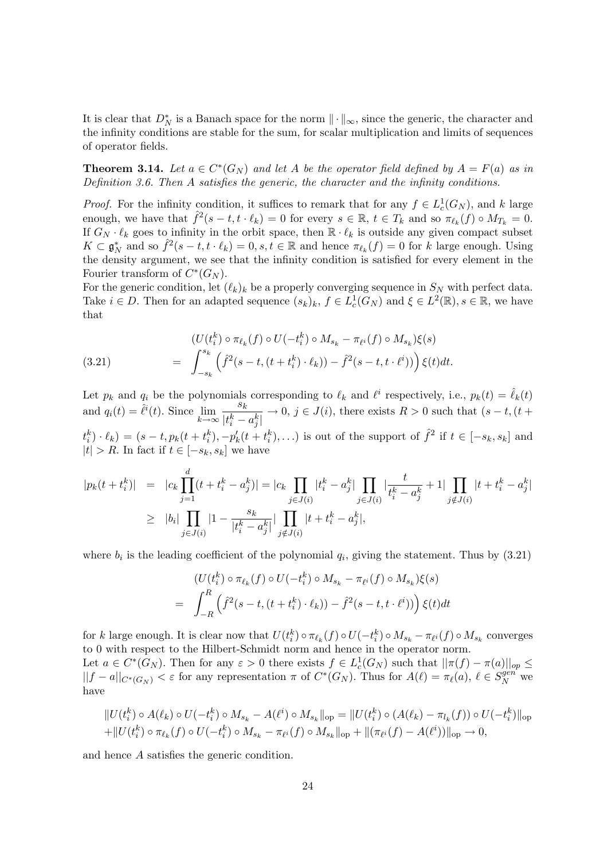It is clear that  $D_N^*$  is a Banach space for the norm  $\|\cdot\|_{\infty}$ , since the generic, the character and the infinity conditions are stable for the sum, for scalar multiplication and limits of sequences of operator fields.

**Theorem 3.14.** Let  $a \in C^*(G_N)$  and let A be the operator field defined by  $A = F(a)$  as in Definition 3.6. Then A satisfies the generic, the character and the infinity conditions.

*Proof.* For the infinity condition, it suffices to remark that for any  $f \in L_c^1(G_N)$ , and k large enough, we have that  $\hat{f}^2(s-t, t \cdot \ell_k) = 0$  for every  $s \in \mathbb{R}, t \in T_k$  and so  $\pi_{\ell_k}(f) \circ M_{T_k} = 0$ . If  $G_N \cdot \ell_k$  goes to infinity in the orbit space, then  $\mathbb{R} \cdot \ell_k$  is outside any given compact subset  $K \subset \mathfrak{g}_N^*$  and so  $\hat{f}^2(s-t, t \cdot \ell_k) = 0, s, t \in \mathbb{R}$  and hence  $\pi_{\ell_k}(f) = 0$  for k large enough. Using the density argument, we see that the infinity condition is satisfied for every element in the Fourier transform of  $C^*(G_N)$ .

For the generic condition, let  $(\ell_k)_k$  be a properly converging sequence in  $S_N$  with perfect data. Take  $i \in D$ . Then for an adapted sequence  $(s_k)_k$ ,  $f \in L_c^1(G_N)$  and  $\xi \in L^2(\mathbb{R})$ ,  $s \in \mathbb{R}$ , we have that

(3.21) 
$$
\begin{aligned} (U(t_i^k) \circ \pi_{\ell_k}(f) \circ U(-t_i^k) \circ M_{s_k} - \pi_{\ell^i}(f) \circ M_{s_k})\xi(s) \\ = \int_{-s_k}^{s_k} \left( \hat{f}^2(s-t, (t+t_i^k) \cdot \ell_k)) - \hat{f}^2(s-t, t \cdot \ell^i)) \right) \xi(t) dt. \end{aligned}
$$

Let  $p_k$  and  $q_i$  be the polynomials corresponding to  $\ell_k$  and  $\ell^i$  respectively, i.e.,  $p_k(t) = \hat{\ell}_k(t)$ and  $q_i(t) = \hat{\ell}^i(t)$ . Since  $\lim_{k \to \infty}$ sk  $\frac{\partial f}{\partial t}$   $\rightarrow$  0,  $j \in J(i)$ , there exists  $R > 0$  such that  $(s - t, (t +$  $t_i^k(\cdot|\theta_k) = (s - t, p_k(t + t_i^k), -p'_k(t + t_i^k), \ldots)$  is out of the support of  $\hat{f}^2$  if  $t \in [-s_k, s_k]$  and  $|t| > R$ . In fact if  $t \in [-s_k, s_k]$  we have

$$
|p_k(t + t_i^k)| = |c_k \prod_{j=1}^d (t + t_i^k - a_j^k)| = |c_k \prod_{j \in J(i)} |t_i^k - a_j^k| \prod_{j \in J(i)} |\frac{t}{t_i^k - a_j^k} + 1| \prod_{j \notin J(i)} |t + t_i^k - a_j^k|
$$
  
\n
$$
\geq |b_i| \prod_{j \in J(i)} |1 - \frac{s_k}{|t_i^k - a_j^k|} |\prod_{j \notin J(i)} |t + t_i^k - a_j^k|,
$$

where  $b_i$  is the leading coefficient of the polynomial  $q_i$ , giving the statement. Thus by  $(3.21)$ 

$$
(U(t_i^k) \circ \pi_{\ell_k}(f) \circ U(-t_i^k) \circ M_{s_k} - \pi_{\ell^i}(f) \circ M_{s_k})\xi(s)
$$
  
= 
$$
\int_{-R}^{R} \left(\hat{f}^2(s-t,(t+t_i^k)\cdot \ell_k)) - \hat{f}^2(s-t,t\cdot \ell^i))\right)\xi(t)dt
$$

for k large enough. It is clear now that  $U(t_i^k) \circ \pi_{\ell_k}(f) \circ U(-t_i^k) \circ M_{s_k} - \pi_{\ell} \circ (f) \circ M_{s_k}$  converges to 0 with respect to the Hilbert-Schmidt norm and hence in the operator norm. Let  $a \in C^*(G_N)$ . Then for any  $\varepsilon > 0$  there exists  $f \in L_c^1(G_N)$  such that  $||\pi(f) - \pi(a)||_{op} \le$  $||f - a||_{C^*(G_N)} < \varepsilon$  for any representation  $\pi$  of  $C^*(G_N)$ . Thus for  $A(\ell) = \pi_{\ell}(a), \ell \in S_N^{gen}$  we

have  
\n
$$
\|U(t_i^k) \circ A(\ell_k) \circ U(-t_i^k) \circ M_{s_k} - A(\ell^i) \circ M_{s_k}\|_{\text{op}} = \|U(t_i^k) \circ (A(\ell_k) - \pi_{l_k}(f)) \circ U(-t_i^k)\|_{\text{op}}
$$

$$
+ \|U(t_i^k) \circ \pi_{\ell_k}(f) \circ U(-t_i^k) \circ M_{s_k} - \pi_{\ell^i}(f) \circ M_{s_k} \|_{\text{op}} + \|(\pi_{\ell^i}(f) - A(\ell^i))\|_{\text{op}} \to 0,
$$

and hence A satisfies the generic condition.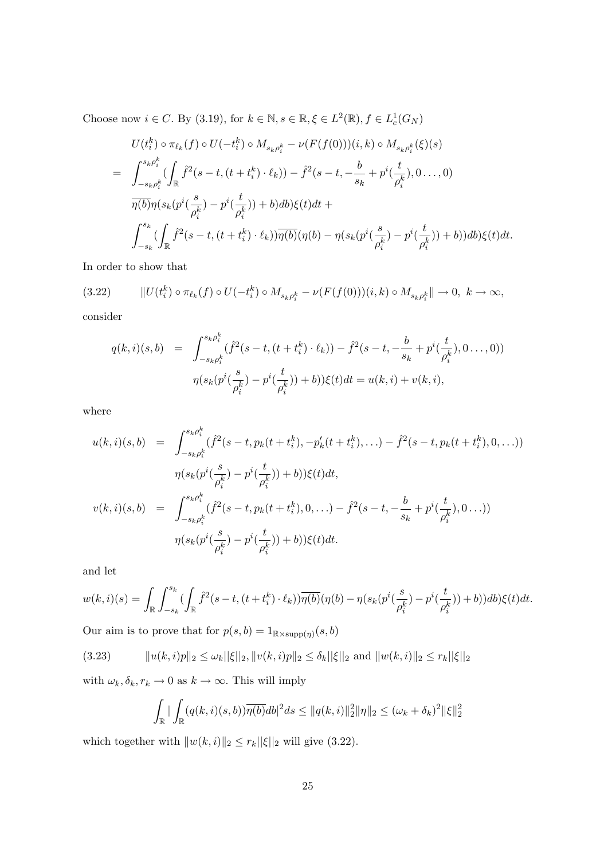Choose now  $i \in C$ . By (3.19), for  $k \in \mathbb{N}, s \in \mathbb{R}, \xi \in L^2(\mathbb{R}), f \in L_c^1(G_N)$ 

$$
U(t_i^k) \circ \pi_{\ell_k}(f) \circ U(-t_i^k) \circ M_{s_k \rho_i^k} - \nu(F(f(0)))(i,k) \circ M_{s_k \rho_i^k}(\xi)(s)
$$
  
= 
$$
\int_{-s_k \rho_i^k}^{s_k \rho_i^k} (\int_{\mathbb{R}} \hat{f}^2(s-t, (t+t_i^k) \cdot \ell_k)) - \hat{f}^2(s-t, -\frac{b}{s_k} + p^i(\frac{t}{\rho_i^k}), 0..., 0)
$$
  

$$
\overline{\eta(b)} \eta(s_k(p^i(\frac{s}{\rho_i^k}) - p^i(\frac{t}{\rho_i^k})) + b)db)\xi(t)dt +
$$
  

$$
\int_{-s_k}^{s_k} (\int_{\mathbb{R}} \hat{f}^2(s-t, (t+t_i^k) \cdot \ell_k)) \overline{\eta(b)} (\eta(b) - \eta(s_k(p^i(\frac{s}{\rho_i^k}) - p^i(\frac{t}{\rho_i^k})) + b))db)\xi(t)dt.
$$

In order to show that

$$
(3.22) \t\t ||U(t_i^k) \circ \pi_{\ell_k}(f) \circ U(-t_i^k) \circ M_{s_k \rho_i^k} - \nu(F(f(0)))(i,k) \circ M_{s_k \rho_i^k} || \to 0, \ k \to \infty,
$$

consider

$$
q(k,i)(s,b) = \int_{-s_k \rho_i^k}^{s_k \rho_i^k} (\hat{f}^2(s-t,(t+t_i^k)\cdot \ell_k)) - \hat{f}^2(s-t, -\frac{b}{s_k} + p^i(\frac{t}{\rho_i^k}), 0..., 0))
$$

$$
\eta(s_k(p^i(\frac{s}{\rho_i^k}) - p^i(\frac{t}{\rho_i^k})) + b))\xi(t)dt = u(k,i) + v(k,i),
$$

where

$$
u(k,i)(s,b) = \int_{-s_k \rho_i^k}^{s_k \rho_i^k} (\hat{f}^2(s-t, p_k(t+t_i^k), -p_k'(t+t_i^k), \ldots) - \hat{f}^2(s-t, p_k(t+t_i^k), 0, \ldots))
$$
  

$$
\eta(s_k(p^i(\frac{s}{\rho_i^k}) - p^i(\frac{t}{\rho_i^k})) + b))\xi(t)dt,
$$
  

$$
v(k,i)(s,b) = \int_{-s_k \rho_i^k}^{s_k \rho_i^k} (\hat{f}^2(s-t, p_k(t+t_i^k), 0, \ldots) - \hat{f}^2(s-t, -\frac{b}{s_k} + p^i(\frac{t}{\rho_i^k}), 0, \ldots))
$$
  

$$
\eta(s_k(p^i(\frac{s}{\rho_i^k}) - p^i(\frac{t}{\rho_i^k})) + b))\xi(t)dt.
$$

and let

$$
w(k,i)(s) = \int_{\mathbb{R}} \int_{-s_k}^{s_k} \left( \int_{\mathbb{R}} \hat{f}^2(s-t, (t+t_i^k) \cdot \ell_k) \right) \overline{\eta(b)} (\eta(b) - \eta(s_k(p^i(\frac{s}{\rho_i^k}) - p^i(\frac{t}{\rho_i^k})) + b)) db) \xi(t) dt.
$$

Our aim is to prove that for  $p(s, b) = 1_{\mathbb{R} \times \text{supp}(\eta)}(s, b)$ 

$$
(3.23) \t\t ||u(k,i)p||_2 \le \omega_k ||\xi||_2, ||v(k,i)p||_2 \le \delta_k ||\xi||_2 \text{ and } ||w(k,i)||_2 \le r_k ||\xi||_2
$$

with  $\omega_k, \delta_k, r_k \to 0$  as  $k \to \infty.$  This will imply

$$
\int_{\mathbb{R}} |\int_{\mathbb{R}} (q(k,i)(s,b)) \overline{\eta(b)} db|^2 ds \le ||q(k,i)||_2^2 ||\eta||_2 \le (\omega_k + \delta_k)^2 ||\xi||_2^2
$$

which together with  $||w(k, i)||_2 \le r_k||\xi||_2$  will give (3.22).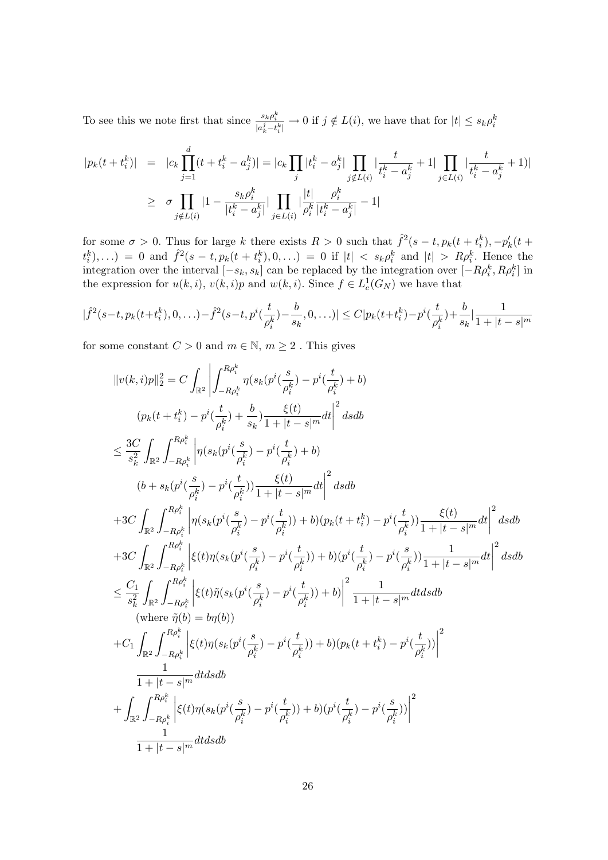To see this we note first that since  $\frac{s_k \rho_i^k}{|a_k^j - t_i^k|} \to 0$  if  $j \notin L(i)$ , we have that for  $|t| \le s_k \rho_i^k$ 

$$
|p_k(t + t_i^k)| = |c_k \prod_{j=1}^d (t + t_i^k - a_j^k)| = |c_k \prod_j |t_i^k - a_j^k| \prod_{j \notin L(i)} |\frac{t}{t_i^k - a_j^k} + 1| \prod_{j \in L(i)} |\frac{t}{t_i^k - a_j^k} + 1|
$$
  

$$
\geq \sigma \prod_{j \notin L(i)} |1 - \frac{s_k \rho_i^k}{|t_i^k - a_j^k|} |\prod_{j \in L(i)} |\frac{|t|}{\rho_i^k} \frac{\rho_i^k}{|t_i^k - a_j^k|} - 1|
$$

for some  $\sigma > 0$ . Thus for large k there exists  $R > 0$  such that  $\hat{f}^2(s-t, p_k(t+t_i^k), -p'_k(t+t_i^k))$  $t_i^k$ ,...) = 0 and  $\hat{f}^2(s-t, p_k(t+t_i^k), 0, ...) = 0$  if  $|t| < s_k \rho_i^k$  and  $|t| > R\rho_i^k$ . Hence the integration over the interval  $[-s_k, s_k]$  can be replaced by the integration over  $[-R\rho_i^k, R\rho_i^k]$  in the expression for  $u(k, i)$ ,  $v(k, i)p$  and  $w(k, i)$ . Since  $f \in L_c^1(G_N)$  we have that

$$
|\hat{f}^2(s-t, p_k(t+t_i^k), 0, \ldots) - \hat{f}^2(s-t, p^i(\frac{t}{\rho_i^k}) - \frac{b}{s_k}, 0, \ldots)| \le C|p_k(t+t_i^k) - p^i(\frac{t}{\rho_i^k}) + \frac{b}{s_k}| \frac{1}{1+|t-s|^m}
$$

for some constant  $C > 0$  and  $m \in \mathbb{N}$ ,  $m \ge 2$ . This gives

$$
||v(k,i)p||_{2}^{2} = C \int_{\mathbb{R}^{2}} \left| \int_{-R\rho_{i}^{k}}^{R\rho_{i}^{k}} \eta(s_{k}(p^{i}(\frac{s}{\rho_{i}^{k}}) - p^{i}(\frac{t}{\rho_{i}^{k}}) + b) \right|
$$
\n
$$
(p_{k}(t + t_{i}^{k}) - p^{i}(\frac{t}{\rho_{i}^{k}}) + \frac{b}{s_{k}}) \frac{\xi(t)}{1 + |t - s|^{m}} dt \right|^{2} ds db
$$
\n
$$
\leq \frac{3C}{s_{k}^{2}} \int_{\mathbb{R}^{2}} \int_{-R\rho_{i}^{k}}^{R\rho_{i}^{k}} \left| \eta(s_{k}(p^{i}(\frac{s}{\rho_{i}^{k}}) - p^{i}(\frac{t}{\rho_{i}^{k}}) + b) \right|
$$
\n
$$
(b + s_{k}(p^{i}(\frac{s}{\rho_{i}^{k}}) - p^{i}(\frac{t}{\rho_{i}^{k}})) \frac{\xi(t)}{1 + |t - s|^{m}} dt \right|^{2} ds db
$$
\n
$$
+ 3C \int_{\mathbb{R}^{2}} \int_{-R\rho_{i}^{k}}^{R\rho_{i}^{k}} \left| \eta(s_{k}(p^{i}(\frac{s}{\rho_{i}^{k}}) - p^{i}(\frac{t}{\rho_{i}^{k}})) + b)(p_{k}(t + t_{i}^{k}) - p^{i}(\frac{t}{\rho_{i}^{k}})) \frac{\xi(t)}{1 + |t - s|^{m}} dt \right|^{2} ds db
$$
\n
$$
+ 3C \int_{\mathbb{R}^{2}} \int_{-R\rho_{i}^{k}}^{R\rho_{i}^{k}} \left| \xi(t)\eta(s_{k}(p^{i}(\frac{s}{\rho_{i}^{k}}) - p^{i}(\frac{t}{\rho_{i}^{k}})) + b)(p^{i}(\frac{t}{\rho_{i}^{k}}) - p^{i}(\frac{s}{\rho_{i}^{k}})) \frac{1}{1 + |t - s|^{m}} dt \right|^{2} ds db
$$
\n
$$
\leq \frac{C_{1}}{s_{k}^{2}} \int_{\mathbb{R}^{2}} \int_{-R\rho_{i}^{k}}^{R\rho_{i}^{k}} \left| \xi(t)\tilde{\eta}(s_{
$$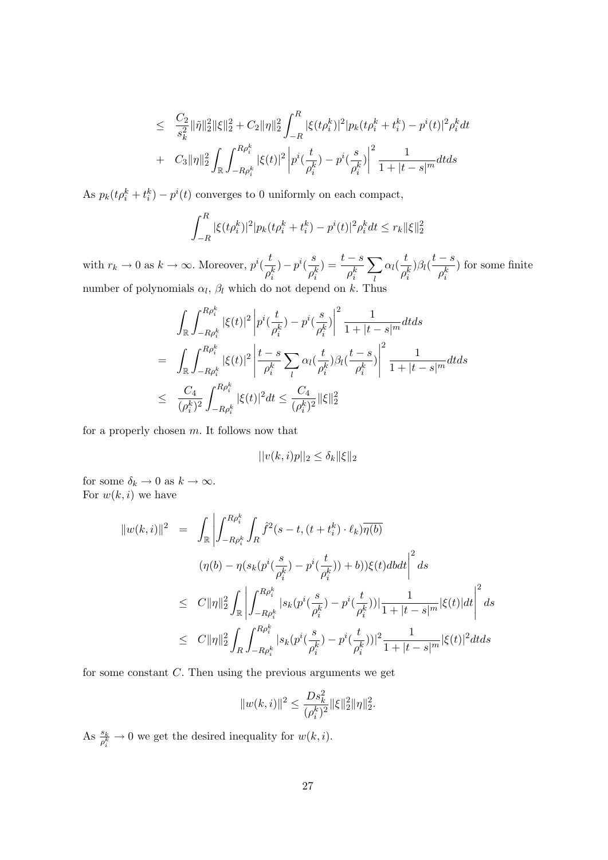$$
\leq \frac{C_2}{s_k^2} \|\tilde{\eta}\|_2^2 \|\xi\|_2^2 + C_2 \|\eta\|_2^2 \int_{-R}^R |\xi(t\rho_i^k)|^2 |p_k(t\rho_i^k + t_i^k) - p^i(t)|^2 \rho_i^k dt
$$
  
+ 
$$
C_3 \|\eta\|_2^2 \int_{\mathbb{R}} \int_{-R\rho_i^k}^{R\rho_i^k} |\xi(t)|^2 \left| p^i(\frac{t}{\rho_i^k}) - p^i(\frac{s}{\rho_i^k}) \right|^2 \frac{1}{1 + |t - s|^m} dt ds
$$

As  $p_k(t\rho_i^k + t_i^k) - p^i(t)$  converges to 0 uniformly on each compact,

$$
\int_{-R}^{R} |\xi(t\rho_i^k)|^2 |p_k(t\rho_i^k + t_i^k) - p^i(t)|^2 \rho_i^k dt \le r_k \|\xi\|_2^2
$$

with  $r_k \to 0$  as  $k \to \infty$ . Moreover,  $p^i(\frac{t}{t})$  $\rho_i^k$  $) - p^i(\frac{s}{q})$  $\rho_i^k$  $) = \frac{t-s}{t}$  $\rho_i^k$  $\sum$ l  $\alpha_l(\frac{t}{t})$  $\rho_i^k$  $\beta_l(\frac{t-s}{k})$  $\rho_i^k$ ) for some finite number of polynomials  $\alpha_l$ ,  $\beta_l$  which do not depend on k. Thus

$$
\int_{\mathbb{R}} \int_{-R\rho_i^k}^{R\rho_i^k} |\xi(t)|^2 \left| p^i(\frac{t}{\rho_i^k}) - p^i(\frac{s}{\rho_i^k}) \right|^2 \frac{1}{1 + |t - s|^m} dt ds
$$
\n
$$
= \int_{\mathbb{R}} \int_{-R\rho_i^k}^{R\rho_i^k} |\xi(t)|^2 \left| \frac{t - s}{\rho_i^k} \sum_l \alpha_l(\frac{t}{\rho_i^k}) \beta_l(\frac{t - s}{\rho_i^k}) \right|^2 \frac{1}{1 + |t - s|^m} dt ds
$$
\n
$$
\leq \frac{C_4}{(\rho_i^k)^2} \int_{-R\rho_i^k}^{R\rho_i^k} |\xi(t)|^2 dt \leq \frac{C_4}{(\rho_i^k)^2} \|\xi\|_2^2
$$

for a properly chosen  $m$ . It follows now that

$$
||v(k,i)p||_2 \le \delta_k ||\xi||_2
$$

for some  $\delta_k \to 0$  as  $k \to \infty$ . For  $w(k, i)$  we have

$$
\|w(k,i)\|^2 = \int_{\mathbb{R}} \left| \int_{-R\rho_i^k}^{R\rho_i^k} \int_R \hat{f}^2(s-t,(t+t_i^k)\cdot \ell_k) \overline{\eta(b)} \right|
$$
  

$$
(\eta(b) - \eta(s_k(p^i(\frac{s}{\rho_i^k}) - p^i(\frac{t}{\rho_i^k})) + b))\xi(t)dbdt \right|^2 ds
$$
  

$$
\leq C \| \eta \|_2^2 \int_{\mathbb{R}} \left| \int_{-R\rho_i^k}^{R\rho_i^k} |s_k(p^i(\frac{s}{\rho_i^k}) - p^i(\frac{t}{\rho_i^k}))| \frac{1}{1 + |t - s|^m} |\xi(t)| dt \right|^2 ds
$$
  

$$
\leq C \| \eta \|_2^2 \int_{R} \int_{-R\rho_i^k}^{R\rho_i^k} |s_k(p^i(\frac{s}{\rho_i^k}) - p^i(\frac{t}{\rho_i^k}))|^2 \frac{1}{1 + |t - s|^m} |\xi(t)|^2 dt ds
$$

for some constant  $C$ . Then using the previous arguments we get

$$
||w(k,i)||^2 \le \frac{Ds_k^2}{(\rho_i^k)^2} ||\xi||_2^2 ||\eta||_2^2.
$$

As  $\frac{s_k}{\rho_i^k} \to 0$  we get the desired inequality for  $w(k, i)$ .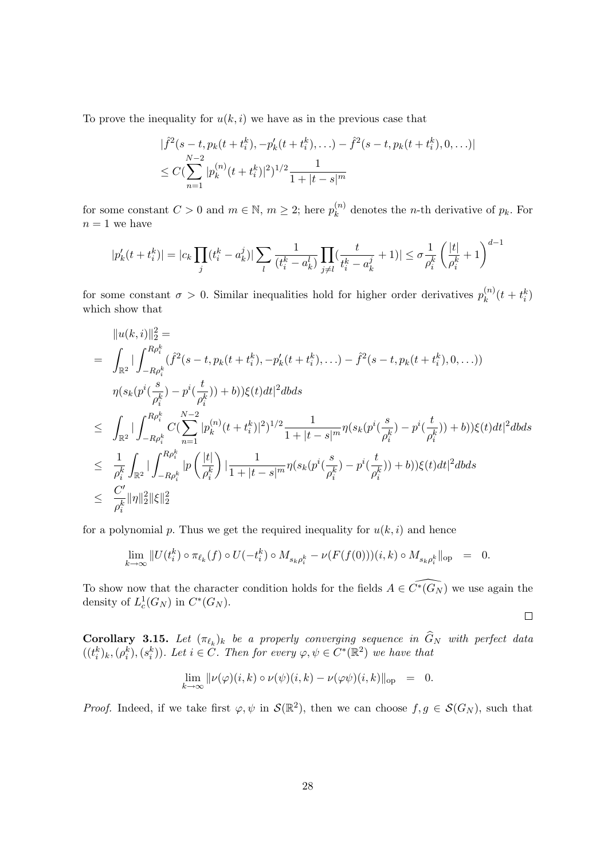To prove the inequality for  $u(k, i)$  we have as in the previous case that

$$
|\hat{f}^2(s-t, p_k(t+t_i^k), -p'_k(t+t_i^k), \ldots) - \hat{f}^2(s-t, p_k(t+t_i^k), 0, \ldots)|
$$
  
 
$$
\leq C(\sum_{n=1}^{N-2} |p_k^{(n)}(t+t_i^k)|^2)^{1/2} \frac{1}{1+|t-s|^m}
$$

for some constant  $C > 0$  and  $m \in \mathbb{N}$ ,  $m \geq 2$ ; here  $p_k^{(n)}$  $k^{(n)}$  denotes the *n*-th derivative of  $p_k$ . For  $n=1$  we have

$$
|p_k'(t+t_i^k)|=|c_k\prod_j(t_i^k-a_k^j)|\sum_l\frac{1}{(t_i^k-a_k^l)}\prod_{j\neq l}(\frac{t}{t_i^k-a_k^j}+1)|\leq \sigma\frac{1}{\rho_i^k}\left(\frac{|t|}{\rho_i^k}+1\right)^{d-1}
$$

for some constant  $\sigma > 0$ . Similar inequalities hold for higher order derivatives  $p_k^{(n)}$  $x_k^{(n)}(t + t_i^k)$ which show that

$$
||u(k,i)||_{2}^{2} =
$$
\n
$$
= \int_{\mathbb{R}^{2}} |\int_{-R\rho_{i}^{k}}^{R\rho_{i}^{k}} (\hat{f}^{2}(s-t, p_{k}(t+t_{i}^{k}), -p_{k}'(t+t_{i}^{k}), \ldots) - \hat{f}^{2}(s-t, p_{k}(t+t_{i}^{k}), 0, \ldots))
$$
\n
$$
\eta(s_{k}(p^{i}(\frac{s}{\rho_{i}^{k}}) - p^{i}(\frac{t}{\rho_{i}^{k}})) + b))\xi(t)dt|^{2}dbds
$$
\n
$$
\leq \int_{\mathbb{R}^{2}} |\int_{-R\rho_{i}^{k}}^{R\rho_{i}^{k}} C(\sum_{n=1}^{N-2} |p_{k}^{(n)}(t+t_{i}^{k})|^{2})^{1/2} \frac{1}{1+|t-s|^{m}} \eta(s_{k}(p^{i}(\frac{s}{\rho_{i}^{k}}) - p^{i}(\frac{t}{\rho_{i}^{k}})) + b))\xi(t)dt|^{2}dbds
$$
\n
$$
\leq \frac{1}{\rho_{i}^{k}} \int_{\mathbb{R}^{2}} |\int_{-R\rho_{i}^{k}}^{R\rho_{i}^{k}} |p(\frac{|t|}{\rho_{i}^{k}})| \frac{1}{1+|t-s|^{m}} \eta(s_{k}(p^{i}(\frac{s}{\rho_{i}^{k}}) - p^{i}(\frac{t}{\rho_{i}^{k}})) + b))\xi(t)dt|^{2}dbds
$$
\n
$$
\leq \frac{C'}{\rho_{i}^{k}} ||\eta||_{2}^{2} ||\xi||_{2}^{2}
$$

for a polynomial p. Thus we get the required inequality for  $u(k, i)$  and hence

$$
\lim_{k \to \infty} ||U(t_i^k) \circ \pi_{\ell_k}(f) \circ U(-t_i^k) \circ M_{s_k \rho_i^k} - \nu(F(f(0)))(i,k) \circ M_{s_k \rho_i^k}||_{\text{op}} = 0.
$$

To show now that the character condition holds for the fields  $A \in \widehat{C^*(G_N)}$  we use again the density of  $L_c^1(G_N)$  in  $C^*(G_N)$ .

 $\Box$ 

**Corollary 3.15.** Let  $(\pi_{\ell_k})_k$  be a properly converging sequence in  $G_N$  with perfect data  $((t_i^k)_k, (\rho_i^k), (s_i^k))$ . Let  $i \in \tilde{C}$ . Then for every  $\varphi, \psi \in C^*(\mathbb{R}^2)$  we have that

$$
\lim_{k \to \infty} \|\nu(\varphi)(i,k) \circ \nu(\psi)(i,k) - \nu(\varphi\psi)(i,k)\|_{\text{op}} = 0.
$$

*Proof.* Indeed, if we take first  $\varphi, \psi$  in  $\mathcal{S}(\mathbb{R}^2)$ , then we can choose  $f, g \in \mathcal{S}(G_N)$ , such that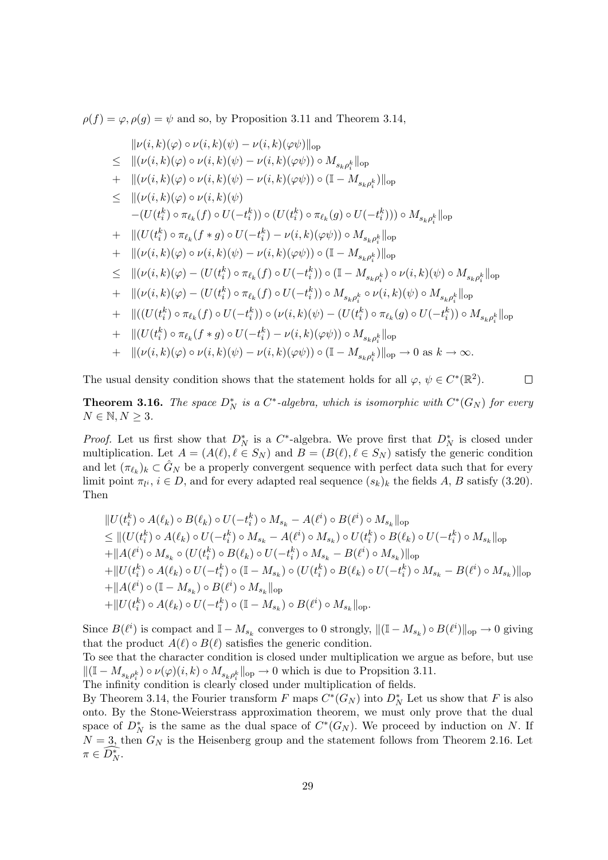$\rho(f) = \varphi, \rho(g) = \psi$  and so, by Proposition 3.11 and Theorem 3.14,

$$
\| \nu(i,k)(\varphi) \circ \nu(i,k)(\psi) - \nu(i,k)(\varphi\psi) \|_{\text{op}} \n\leq \| (\nu(i,k)(\varphi) \circ \nu(i,k)(\psi) - \nu(i,k)(\varphi\psi)) \circ M_{s_{k}\rho_{i}^{k}} \|_{\text{op}} \n+ \| (\nu(i,k)(\varphi) \circ \nu(i,k)(\psi) - \nu(i,k)(\varphi\psi)) \circ (\mathbb{I} - M_{s_{k}\rho_{i}^{k}}) \|_{\text{op}} \n\leq \| (\nu(i,k)(\varphi) \circ \nu(i,k)(\psi) \n- (U(t_{i}^{k}) \circ \pi_{\ell_{k}}(f) \circ U(-t_{i}^{k})) \circ (U(t_{i}^{k}) \circ \pi_{\ell_{k}}(g) \circ U(-t_{i}^{k}))) \circ M_{s_{k}\rho_{i}^{k}} \|_{\text{op}} \n+ \| (U(t_{i}^{k}) \circ \pi_{\ell_{k}}(f * g) \circ U(-t_{i}^{k}) - \nu(i,k)(\varphi\psi)) \circ M_{s_{k}\rho_{i}^{k}} \|_{\text{op}} \n+ \| (\nu(i,k)(\varphi) \circ \nu(i,k)(\psi) - \nu(i,k)(\varphi\psi)) \circ (\mathbb{I} - M_{s_{k}\rho_{i}^{k}}) \|_{\text{op}} \n\leq \| (\nu(i,k)(\varphi) - (U(t_{i}^{k}) \circ \pi_{\ell_{k}}(f) \circ U(-t_{i}^{k})) \circ (\mathbb{I} - M_{s_{k}\rho_{i}^{k}}) \circ \nu(i,k)(\psi) \circ M_{s_{k}\rho_{i}^{k}} \|_{\text{op}} \n+ \| (\nu(i,k)(\varphi) - (U(t_{i}^{k}) \circ \pi_{\ell_{k}}(f) \circ U(-t_{i}^{k})) \circ M_{s_{k}\rho_{i}^{k}} \circ \nu(i,k)(\psi) \circ M_{s_{k}\rho_{i}^{k}} \|_{\text{op}} \n+ \| ((U(t_{i}^{k}) \circ \pi_{\ell_{k}}(f) \circ U(-t_{i}^{k})) \circ (\nu(i,k)(\psi) - (U(t_{i}^{k}) \circ \pi_{\ell_{k}}(g) \circ U(-t_{i}^{k})) \circ M_{s_{k}\rho_{i}^{k}} \|_{\text{op}} \n+ \| ((U(t_{i}^{k}) \circ \pi_{
$$

The usual density condition shows that the statement holds for all  $\varphi, \psi \in C^*(\mathbb{R}^2)$ .  $\Box$ 

**Theorem 3.16.** The space  $D_N^*$  is a  $C^*$ -algebra, which is isomorphic with  $C^*(G_N)$  for every  $N \in \mathbb{N}, N \geq 3.$ 

*Proof.* Let us first show that  $D_N^*$  is a  $C^*$ -algebra. We prove first that  $D_N^*$  is closed under multiplication. Let  $A = (A(\ell), \ell \in S_N)$  and  $B = (B(\ell), \ell \in S_N)$  satisfy the generic condition and let  $(\pi_{\ell_k})_k \subset \hat{G}_N$  be a properly convergent sequence with perfect data such that for every limit point  $\pi_{l^i}, i \in D$ , and for every adapted real sequence  $(s_k)_k$  the fields A, B satisfy (3.20). Then

$$
\|U(t_i^k) \circ A(\ell_k) \circ B(\ell_k) \circ U(-t_i^k) \circ M_{s_k} - A(\ell^i) \circ B(\ell^i) \circ M_{s_k} \|_{\text{op}}
$$
  
\n
$$
\leq \|(U(t_i^k) \circ A(\ell_k) \circ U(-t_i^k) \circ M_{s_k} - A(\ell^i) \circ M_{s_k}) \circ U(t_i^k) \circ B(\ell_k) \circ U(-t_i^k) \circ M_{s_k} \|_{\text{op}}
$$
  
\n
$$
+ \|A(\ell^i) \circ M_{s_k} \circ (U(t_i^k) \circ B(\ell_k) \circ U(-t_i^k) \circ M_{s_k} - B(\ell^i) \circ M_{s_k}) \|_{\text{op}}
$$
  
\n
$$
+ \|U(t_i^k) \circ A(\ell_k) \circ U(-t_i^k) \circ (1 - M_{s_k}) \circ (U(t_i^k) \circ B(\ell_k) \circ U(-t_i^k) \circ M_{s_k} - B(\ell^i) \circ M_{s_k}) \|_{\text{op}}
$$
  
\n
$$
+ \|A(\ell^i) \circ (1 - M_{s_k}) \circ B(\ell^i) \circ M_{s_k} \|_{\text{op}}
$$
  
\n
$$
+ \|U(t_i^k) \circ A(\ell_k) \circ U(-t_i^k) \circ (1 - M_{s_k}) \circ B(\ell^i) \circ M_{s_k} \|_{\text{op}}.
$$

Since  $B(\ell^i)$  is compact and  $\mathbb{I} - M_{s_k}$  converges to 0 strongly,  $\|(\mathbb{I} - M_{s_k}) \circ B(\ell^i)\|_{\text{op}} \to 0$  giving that the product  $A(\ell) \circ B(\ell)$  satisfies the generic condition.

To see that the character condition is closed under multiplication we argue as before, but use  $\|(\mathbb{I} - M_{s_k \rho_i^k}) \circ \nu(\varphi)(i,k) \circ M_{s_k \rho_i^k}\|_{\text{op}} \to 0$  which is due to Propsition 3.11.

The infinity condition is clearly closed under multiplication of fields.

By Theorem 3.14, the Fourier transform F maps  $C^*(G_N)$  into  $D_N^*$  Let us show that F is also onto. By the Stone-Weierstrass approximation theorem, we must only prove that the dual space of  $D_N^*$  is the same as the dual space of  $C^*(G_N)$ . We proceed by induction on N. If  $N = 3$ , then  $G_N$  is the Heisenberg group and the statement follows from Theorem 2.16. Let  $\pi \in \widehat{D_N^*}.$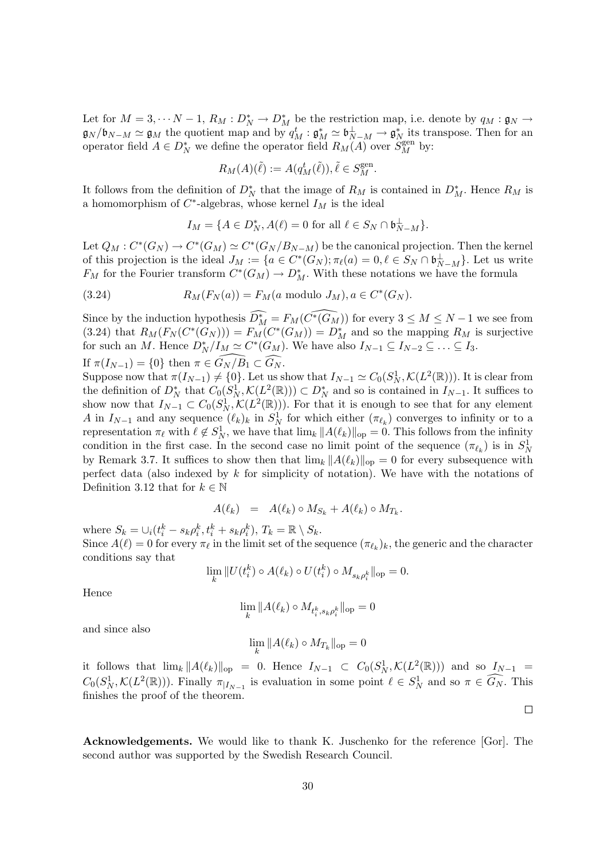Let for  $M = 3, \dots N - 1$ ,  $R_M : D_N^* \to D_M^*$  be the restriction map, i.e. denote by  $q_M : \mathfrak{g}_N \to$  $\mathfrak{g}_N/\mathfrak{b}_{N-M} \simeq \mathfrak{g}_M$  the quotient map and by  $q_M^t : \mathfrak{g}_M^* \simeq \mathfrak{b}_{N-M}^{\perp} \to \mathfrak{g}_N^*$  its transpose. Then for an operator field  $A \in D_N^*$  we define the operator field  $R_M(A)$  over  $S_M^{\text{gen}}$  by:

$$
R_M(A)(\tilde{\ell}) := A(q_M^t(\tilde{\ell})), \tilde{\ell} \in S_M^{\text{gen}}.
$$

It follows from the definition of  $D_N^*$  that the image of  $R_M$  is contained in  $D_M^*$ . Hence  $R_M$  is a homomorphism of  $C^*$ -algebras, whose kernel  $I_M$  is the ideal

$$
I_M = \{ A \in D_N^*, A(\ell) = 0 \text{ for all } \ell \in S_N \cap \mathfrak{b}_{N-M}^{\perp} \}.
$$

Let  $Q_M : C^*(G_N) \to C^*(G_M) \simeq C^*(G_N / B_{N-M})$  be the canonical projection. Then the kernel of this projection is the ideal  $J_M := \{a \in C^*(G_N); \pi_\ell(a) = 0, \ell \in S_N \cap \mathfrak{b}_{N-M}^{\perp} \}$ . Let us write  $F_M$  for the Fourier transform  $C^*(G_M) \to D_M^*$ . With these notations we have the formula

(3.24) 
$$
R_M(F_N(a)) = F_M(a \text{ modulo } J_M), a \in C^*(G_N).
$$

Since by the induction hypothesis  $\widehat{D_M^*} = F_M(\widehat{C^*(G_M)})$  for every  $3 \leq M \leq N - 1$  we see from (3.24) that  $R_M(F_N(C^*(G_N))) = F_M(C^*(G_M)) = D_M^*$  and so the mapping  $R_M$  is surjective for such an M. Hence  $D_N^*/I_M \simeq C^*(G_M)$ . We have also  $I_{N-1} \subseteq I_{N-2} \subseteq \ldots \subseteq I_3$ . If  $\pi(I_{N-1}) = \{0\}$  then  $\pi \in G_N / B_1 \subset \widehat{G_N}$ .

Suppose now that  $\pi(I_{N-1}) \neq \{0\}$ . Let us show that  $I_{N-1} \simeq C_0(S_N^1, \mathcal{K}(L^2(\mathbb{R}))$ . It is clear from the definition of  $D_N^*$  that  $C_0(S_N^1, \mathcal{K}(L^2(\mathbb{R}))) \subset D_N^*$  and so is contained in  $I_{N-1}$ . It suffices to show now that  $I_{N-1} \subset C_0(S_N^1, \mathcal{K}(L^2(\mathbb{R})))$ . For that it is enough to see that for any element A in  $I_{N-1}$  and any sequence  $(\ell_k)_k$  in  $S_N^1$  for which either  $(\pi_{\ell_k})$  converges to infinity or to a representation  $\pi_\ell$  with  $\ell \notin S_N^1$ , we have that  $\lim_k ||A(\ell_k)||_{op} = 0$ . This follows from the infinity condition in the first case. In the second case no limit point of the sequence  $(\pi_{\ell_k})$  is in  $S^1_N$ by Remark 3.7. It suffices to show then that  $\lim_k ||A(\ell_k)||_{op} = 0$  for every subsequence with perfect data (also indexed by  $k$  for simplicity of notation). We have with the notations of Definition 3.12 that for  $k \in \mathbb{N}$ 

$$
A(\ell_k) = A(\ell_k) \circ M_{S_k} + A(\ell_k) \circ M_{T_k}.
$$

where  $S_k = \bigcup_i (t_i^k - s_k \rho_i^k, t_i^k + s_k \rho_i^k), T_k = \mathbb{R} \setminus S_k$ . Since  $A(\ell) = 0$  for every  $\pi_{\ell}$  in the limit set of the sequence  $(\pi_{\ell_k})_k$ , the generic and the character conditions say that

$$
\lim_{k} ||U(t_i^k) \circ A(\ell_k) \circ U(t_i^k) \circ M_{s_k \rho_i^k}||_{\text{op}} = 0.
$$

Hence

$$
\lim_k \|A(\ell_k) \circ M_{t^k_i, s_k \rho^k_i}\|_{\text{op}} = 0
$$

and since also

$$
\lim_k \|A(\ell_k)\circ M_{T_k}\|_{\mathrm{op}}=0
$$

it follows that  $\lim_k ||A(\ell_k)||_{op} = 0$ . Hence  $I_{N-1} \subset C_0(S_N^1, \mathcal{K}(L^2(\mathbb{R})))$  and so  $I_{N-1} =$  $C_0(S_N^1, \mathcal{K}(L^2(\mathbb{R})))$ . Finally  $\pi_{|I_{N-1}}$  is evaluation in some point  $\ell \in S_N^1$  and so  $\pi \in \widehat{G_N}$ . This finishes the proof of the theorem.

 $\Box$ 

Acknowledgements. We would like to thank K. Juschenko for the reference [Gor]. The second author was supported by the Swedish Research Council.